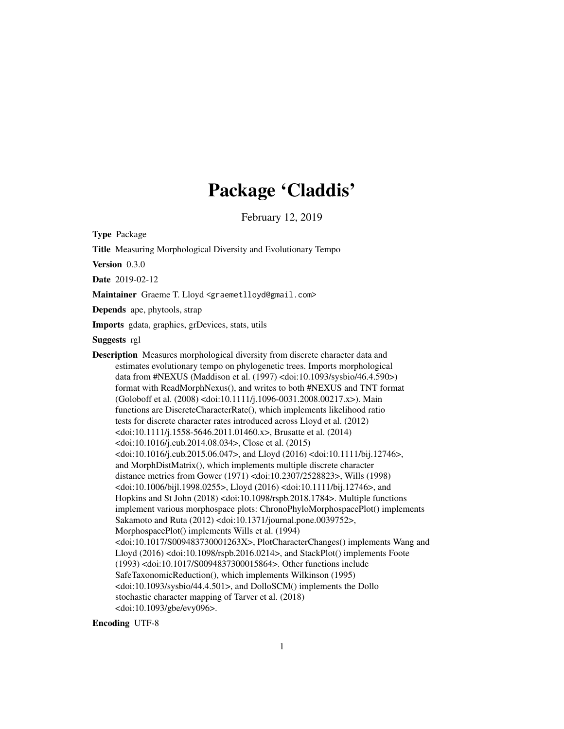# Package 'Claddis'

February 12, 2019

<span id="page-0-0"></span>Type Package

Title Measuring Morphological Diversity and Evolutionary Tempo Version 0.3.0 Date 2019-02-12 Maintainer Graeme T. Lloyd <graemetlloyd@gmail.com> Depends ape, phytools, strap Imports gdata, graphics, grDevices, stats, utils Suggests rgl Description Measures morphological diversity from discrete character data and estimates evolutionary tempo on phylogenetic trees. Imports morphological data from #NEXUS (Maddison et al. (1997) <doi:10.1093/sysbio/46.4.590>) format with ReadMorphNexus(), and writes to both #NEXUS and TNT format (Goloboff et al. (2008) <doi:10.1111/j.1096-0031.2008.00217.x>). Main functions are DiscreteCharacterRate(), which implements likelihood ratio tests for discrete character rates introduced across Lloyd et al. (2012) <doi:10.1111/j.1558-5646.2011.01460.x>, Brusatte et al. (2014) <doi:10.1016/j.cub.2014.08.034>, Close et al. (2015) <doi:10.1016/j.cub.2015.06.047>, and Lloyd (2016) <doi:10.1111/bij.12746>, and MorphDistMatrix(), which implements multiple discrete character distance metrics from Gower (1971) <doi:10.2307/2528823>, Wills (1998) <doi:10.1006/bijl.1998.0255>, Lloyd (2016) <doi:10.1111/bij.12746>, and Hopkins and St John (2018) <doi:10.1098/rspb.2018.1784>. Multiple functions implement various morphospace plots: ChronoPhyloMorphospacePlot() implements Sakamoto and Ruta (2012) <doi:10.1371/journal.pone.0039752>, MorphospacePlot() implements Wills et al. (1994) <doi:10.1017/S009483730001263X>, PlotCharacterChanges() implements Wang and Lloyd (2016) <doi:10.1098/rspb.2016.0214>, and StackPlot() implements Foote (1993) <doi:10.1017/S0094837300015864>. Other functions include SafeTaxonomicReduction(), which implements Wilkinson (1995) <doi:10.1093/sysbio/44.4.501>, and DolloSCM() implements the Dollo stochastic character mapping of Tarver et al. (2018) <doi:10.1093/gbe/evy096>.

Encoding UTF-8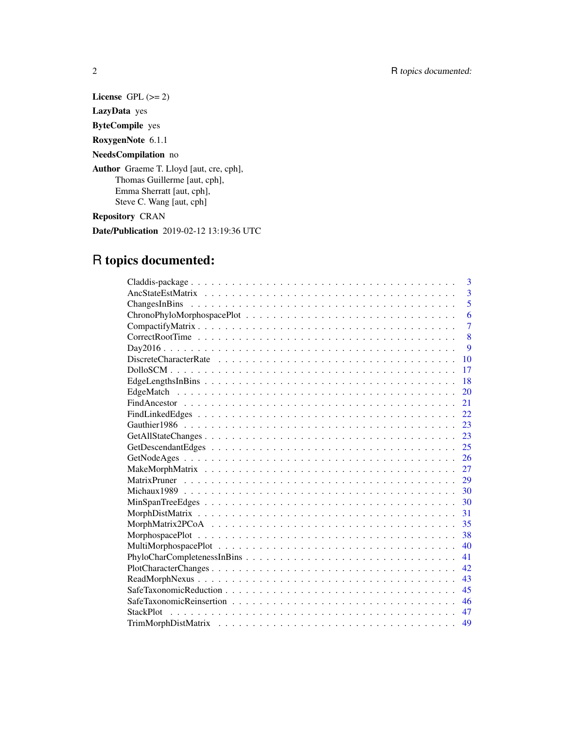License GPL  $(>= 2)$ 

LazyData yes

ByteCompile yes

RoxygenNote 6.1.1

# NeedsCompilation no

Author Graeme T. Lloyd [aut, cre, cph], Thomas Guillerme [aut, cph], Emma Sherratt [aut, cph], Steve C. Wang [aut, cph]

Repository CRAN

Date/Publication 2019-02-12 13:19:36 UTC

# R topics documented:

| 3                      |
|------------------------|
| $\overline{3}$         |
| $\overline{5}$         |
| 6                      |
| $\overline{7}$         |
| 8                      |
| 9                      |
| 10                     |
| 17                     |
| 18                     |
| 20                     |
| 21                     |
| 22                     |
| 23                     |
| 23                     |
| 25                     |
| 26                     |
| 27                     |
| 29                     |
| 30                     |
| 30                     |
| 31                     |
| 35                     |
| 38                     |
| 40                     |
| 41                     |
| 42                     |
| 43                     |
| 45                     |
| 46                     |
| 47<br><b>StackPlot</b> |
| 49                     |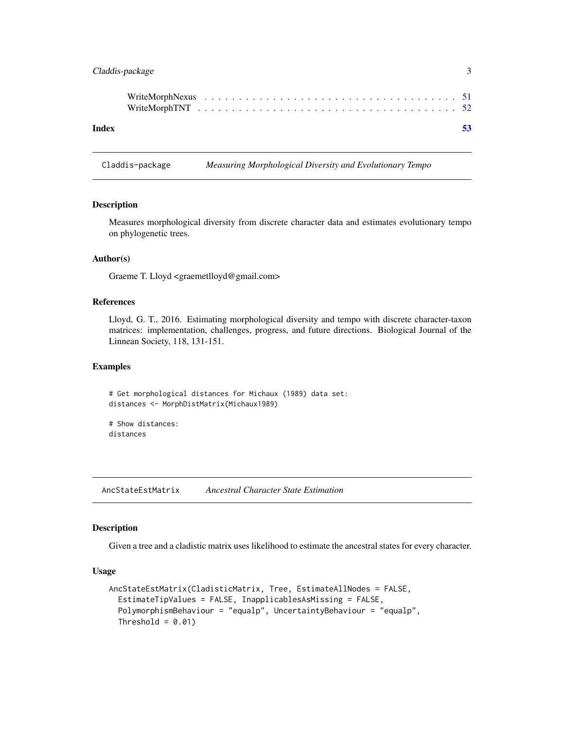# <span id="page-2-0"></span>Claddis-package 3

| Index |  |  |  |  |  |  |  |  |  |  |  |  |  |  |  |  | -53 |
|-------|--|--|--|--|--|--|--|--|--|--|--|--|--|--|--|--|-----|

Claddis-package *Measuring Morphological Diversity and Evolutionary Tempo*

# <span id="page-2-2"></span>Description

Measures morphological diversity from discrete character data and estimates evolutionary tempo on phylogenetic trees.

# Author(s)

Graeme T. Lloyd <graemetlloyd@gmail.com>

#### References

Lloyd, G. T., 2016. Estimating morphological diversity and tempo with discrete character-taxon matrices: implementation, challenges, progress, and future directions. Biological Journal of the Linnean Society, 118, 131-151.

#### Examples

# Get morphological distances for Michaux (1989) data set: distances <- MorphDistMatrix(Michaux1989)

```
# Show distances:
distances
```
<span id="page-2-1"></span>AncStateEstMatrix *Ancestral Character State Estimation*

# Description

Given a tree and a cladistic matrix uses likelihood to estimate the ancestral states for every character.

# Usage

```
AncStateEstMatrix(CladisticMatrix, Tree, EstimateAllNodes = FALSE,
 EstimateTipValues = FALSE, InapplicablesAsMissing = FALSE,
 PolymorphismBehaviour = "equalp", UncertaintyBehaviour = "equalp",
 Threshold = 0.01)
```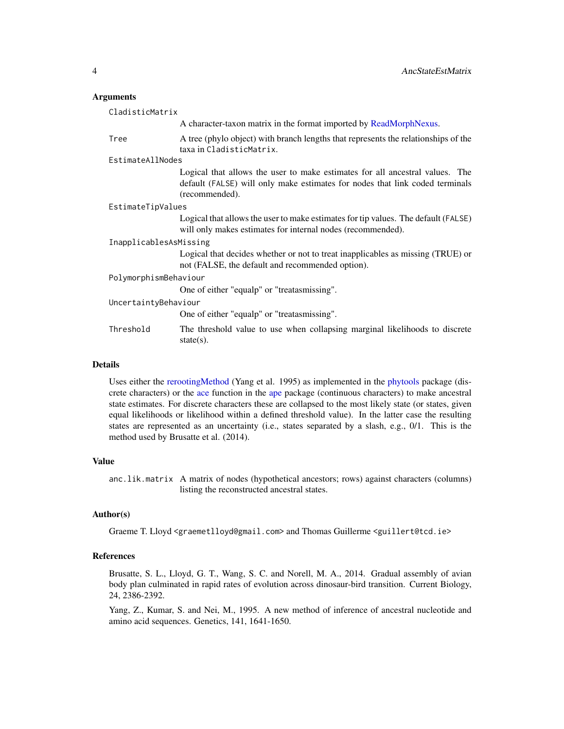#### <span id="page-3-0"></span>Arguments

|                        | CladisticMatrix                                                                                                                                                                |  |  |  |  |
|------------------------|--------------------------------------------------------------------------------------------------------------------------------------------------------------------------------|--|--|--|--|
|                        | A character-taxon matrix in the format imported by ReadMorphNexus.                                                                                                             |  |  |  |  |
| Tree                   | A tree (phylo object) with branch lengths that represents the relationships of the<br>taxa in CladisticMatrix.                                                                 |  |  |  |  |
| EstimateAllNodes       |                                                                                                                                                                                |  |  |  |  |
|                        | Logical that allows the user to make estimates for all ancestral values. The<br>default (FALSE) will only make estimates for nodes that link coded terminals<br>(recommended). |  |  |  |  |
| EstimateTipValues      |                                                                                                                                                                                |  |  |  |  |
|                        | Logical that allows the user to make estimates for tip values. The default (FALSE)<br>will only makes estimates for internal nodes (recommended).                              |  |  |  |  |
| InapplicablesAsMissing |                                                                                                                                                                                |  |  |  |  |
|                        | Logical that decides whether or not to treat inapplicables as missing (TRUE) or<br>not (FALSE, the default and recommended option).                                            |  |  |  |  |
|                        | PolymorphismBehaviour                                                                                                                                                          |  |  |  |  |
|                        | One of either "equalp" or "treatasmissing".                                                                                                                                    |  |  |  |  |
| UncertaintyBehaviour   |                                                                                                                                                                                |  |  |  |  |
|                        | One of either "equalp" or "treatasmissing".                                                                                                                                    |  |  |  |  |
| Threshold              | The threshold value to use when collapsing marginal likelihoods to discrete<br>state $(s)$ .                                                                                   |  |  |  |  |

#### Details

Uses either the [rerootingMethod](#page-0-0) (Yang et al. 1995) as implemented in the [phytools](#page-0-0) package (discrete characters) or the [ace](#page-0-0) function in the [ape](#page-0-0) package (continuous characters) to make ancestral state estimates. For discrete characters these are collapsed to the most likely state (or states, given equal likelihoods or likelihood within a defined threshold value). In the latter case the resulting states are represented as an uncertainty (i.e., states separated by a slash, e.g., 0/1. This is the method used by Brusatte et al. (2014).

#### Value

anc.lik.matrix A matrix of nodes (hypothetical ancestors; rows) against characters (columns) listing the reconstructed ancestral states.

#### Author(s)

Graeme T. Lloyd <graemetlloyd@gmail.com> and Thomas Guillerme <guillert@tcd.ie>

#### References

Brusatte, S. L., Lloyd, G. T., Wang, S. C. and Norell, M. A., 2014. Gradual assembly of avian body plan culminated in rapid rates of evolution across dinosaur-bird transition. Current Biology, 24, 2386-2392.

Yang, Z., Kumar, S. and Nei, M., 1995. A new method of inference of ancestral nucleotide and amino acid sequences. Genetics, 141, 1641-1650.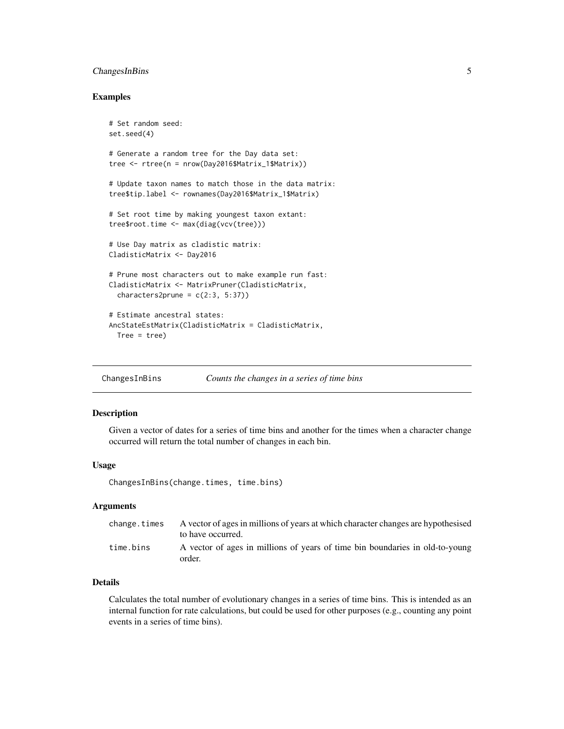# <span id="page-4-0"></span>ChangesInBins 5

#### Examples

```
# Set random seed:
set.seed(4)
# Generate a random tree for the Day data set:
tree <- rtree(n = nrow(Day2016$Matrix_1$Matrix))
# Update taxon names to match those in the data matrix:
tree$tip.label <- rownames(Day2016$Matrix_1$Matrix)
# Set root time by making youngest taxon extant:
tree$root.time <- max(diag(vcv(tree)))
# Use Day matrix as cladistic matrix:
CladisticMatrix <- Day2016
# Prune most characters out to make example run fast:
CladisticMatrix <- MatrixPruner(CladisticMatrix,
  characters2prune = c(2:3, 5:37)# Estimate ancestral states:
AncStateEstMatrix(CladisticMatrix = CladisticMatrix,
  Tree = tree)
```
ChangesInBins *Counts the changes in a series of time bins*

#### Description

Given a vector of dates for a series of time bins and another for the times when a character change occurred will return the total number of changes in each bin.

# Usage

ChangesInBins(change.times, time.bins)

#### Arguments

| change.times | A vector of ages in millions of years at which character changes are hypothesised<br>to have occurred. |
|--------------|--------------------------------------------------------------------------------------------------------|
| time.bins    | A vector of ages in millions of years of time bin boundaries in old-to-young<br>order.                 |

# Details

Calculates the total number of evolutionary changes in a series of time bins. This is intended as an internal function for rate calculations, but could be used for other purposes (e.g., counting any point events in a series of time bins).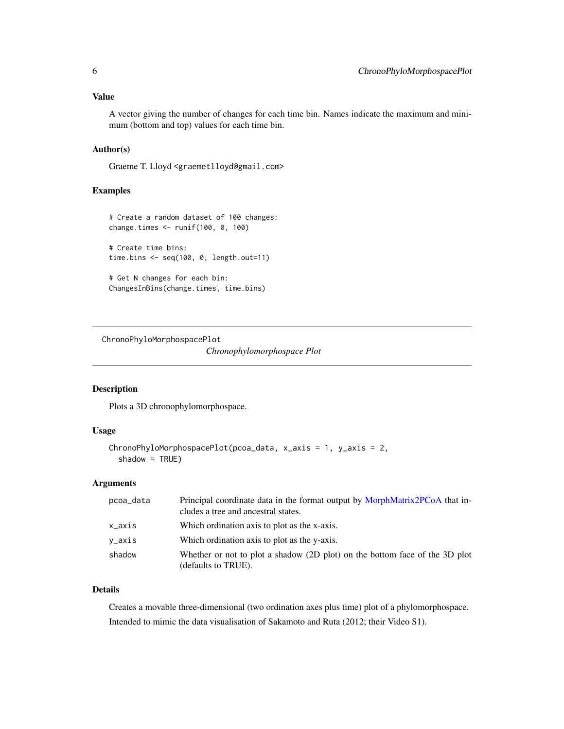<span id="page-5-0"></span>A vector giving the number of changes for each time bin. Names indicate the maximum and minimum (bottom and top) values for each time bin.

# Author(s)

Graeme T. Lloyd <graemetlloyd@gmail.com>

# Examples

```
# Create a random dataset of 100 changes:
change.times <- runif(100, 0, 100)
# Create time bins:
time.bins <- seq(100, 0, length.out=11)
# Get N changes for each bin:
ChangesInBins(change.times, time.bins)
```
ChronoPhyloMorphospacePlot

*Chronophylomorphospace Plot*

# Description

Plots a 3D chronophylomorphospace.

# Usage

```
ChronoPhyloMorphospacePlot(pcoa_data, x_axis = 1, y_axis = 2,
  shadow = TRUE)
```
# Arguments

| pcoa_data | Principal coordinate data in the format output by MorphMatrix2PCoA that in-<br>cludes a tree and ancestral states. |
|-----------|--------------------------------------------------------------------------------------------------------------------|
| x_axis    | Which ordination axis to plot as the x-axis.                                                                       |
| y_axis    | Which ordination axis to plot as the y-axis.                                                                       |
| shadow    | Whether or not to plot a shadow (2D plot) on the bottom face of the 3D plot<br>(defaults to TRUE).                 |

# Details

Creates a movable three-dimensional (two ordination axes plus time) plot of a phylomorphospace. Intended to mimic the data visualisation of Sakamoto and Ruta (2012; their Video S1).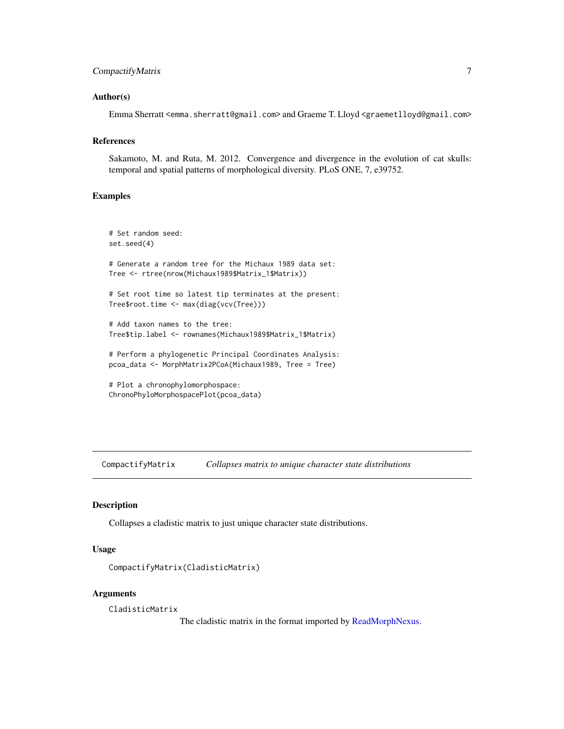# <span id="page-6-0"></span>CompactifyMatrix 7

#### Author(s)

Emma Sherratt <emma.sherratt@gmail.com> and Graeme T. Lloyd <graemetlloyd@gmail.com>

#### References

Sakamoto, M. and Ruta, M. 2012. Convergence and divergence in the evolution of cat skulls: temporal and spatial patterns of morphological diversity. PLoS ONE, 7, e39752.

#### Examples

```
# Set random seed:
set.seed(4)
# Generate a random tree for the Michaux 1989 data set:
Tree <- rtree(nrow(Michaux1989$Matrix_1$Matrix))
# Set root time so latest tip terminates at the present:
Tree$root.time <- max(diag(vcv(Tree)))
# Add taxon names to the tree:
Tree$tip.label <- rownames(Michaux1989$Matrix_1$Matrix)
# Perform a phylogenetic Principal Coordinates Analysis:
pcoa_data <- MorphMatrix2PCoA(Michaux1989, Tree = Tree)
```
# Plot a chronophylomorphospace: ChronoPhyloMorphospacePlot(pcoa\_data)

CompactifyMatrix *Collapses matrix to unique character state distributions*

#### Description

Collapses a cladistic matrix to just unique character state distributions.

# Usage

```
CompactifyMatrix(CladisticMatrix)
```
# **Arguments**

CladisticMatrix

The cladistic matrix in the format imported by [ReadMorphNexus.](#page-42-1)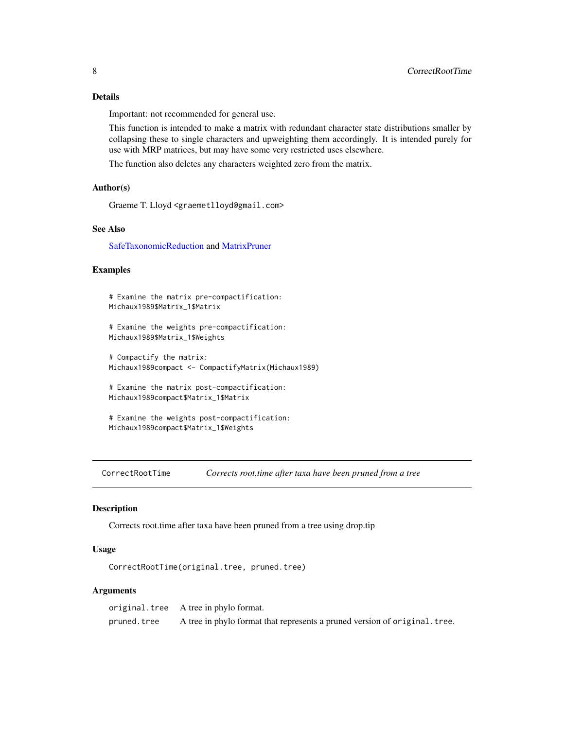# <span id="page-7-0"></span>Details

Important: not recommended for general use.

This function is intended to make a matrix with redundant character state distributions smaller by collapsing these to single characters and upweighting them accordingly. It is intended purely for use with MRP matrices, but may have some very restricted uses elsewhere.

The function also deletes any characters weighted zero from the matrix.

#### Author(s)

Graeme T. Lloyd <graemetlloyd@gmail.com>

# See Also

[SafeTaxonomicReduction](#page-44-1) and [MatrixPruner](#page-28-1)

#### Examples

# Examine the matrix pre-compactification: Michaux1989\$Matrix\_1\$Matrix

# Examine the weights pre-compactification: Michaux1989\$Matrix\_1\$Weights

# Compactify the matrix: Michaux1989compact <- CompactifyMatrix(Michaux1989)

# Examine the matrix post-compactification: Michaux1989compact\$Matrix\_1\$Matrix

# Examine the weights post-compactification: Michaux1989compact\$Matrix\_1\$Weights

CorrectRootTime *Corrects root.time after taxa have been pruned from a tree*

#### Description

Corrects root.time after taxa have been pruned from a tree using drop.tip

#### Usage

CorrectRootTime(original.tree, pruned.tree)

# Arguments

original.tree A tree in phylo format. pruned.tree A tree in phylo format that represents a pruned version of original.tree.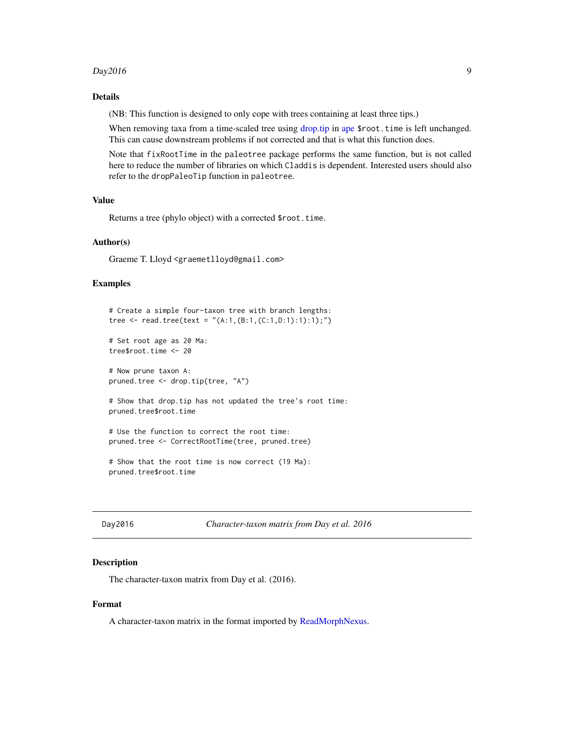#### <span id="page-8-0"></span> $Day2016$  9

# Details

(NB: This function is designed to only cope with trees containing at least three tips.)

When removing taxa from a time-scaled tree using [drop.tip](#page-0-0) in [ape](#page-0-0) \$root.time is left unchanged. This can cause downstream problems if not corrected and that is what this function does.

Note that fixRootTime in the paleotree package performs the same function, but is not called here to reduce the number of libraries on which Claddis is dependent. Interested users should also refer to the dropPaleoTip function in paleotree.

# Value

Returns a tree (phylo object) with a corrected \$root.time.

# Author(s)

Graeme T. Lloyd <graemetlloyd@gmail.com>

# Examples

```
# Create a simple four-taxon tree with branch lengths:
tree <- read.tree(text = "(A:1,(B:1,(C:1,D:1):1):1);")
# Set root age as 20 Ma:
tree$root.time <- 20
# Now prune taxon A:
pruned.tree <- drop.tip(tree, "A")
# Show that drop.tip has not updated the tree's root time:
pruned.tree$root.time
# Use the function to correct the root time:
pruned.tree <- CorrectRootTime(tree, pruned.tree)
```
Day2016 *Character-taxon matrix from Day et al. 2016*

#### **Description**

The character-taxon matrix from Day et al. (2016).

# Format

A character-taxon matrix in the format imported by [ReadMorphNexus.](#page-42-1)

<sup>#</sup> Show that the root time is now correct (19 Ma): pruned.tree\$root.time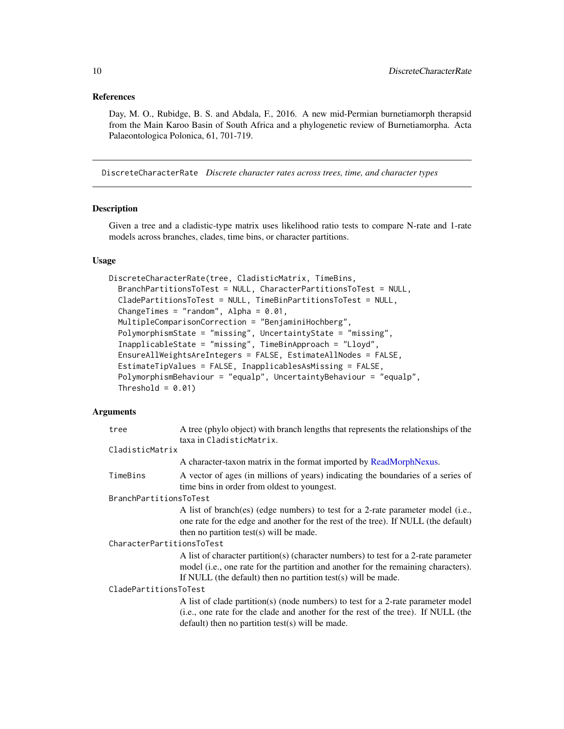# <span id="page-9-0"></span>References

Day, M. O., Rubidge, B. S. and Abdala, F., 2016. A new mid-Permian burnetiamorph therapsid from the Main Karoo Basin of South Africa and a phylogenetic review of Burnetiamorpha. Acta Palaeontologica Polonica, 61, 701-719.

<span id="page-9-1"></span>DiscreteCharacterRate *Discrete character rates across trees, time, and character types*

#### Description

Given a tree and a cladistic-type matrix uses likelihood ratio tests to compare N-rate and 1-rate models across branches, clades, time bins, or character partitions.

#### Usage

```
DiscreteCharacterRate(tree, CladisticMatrix, TimeBins,
 BranchPartitionsToTest = NULL, CharacterPartitionsToTest = NULL,
 CladePartitionsToTest = NULL, TimeBinPartitionsToTest = NULL,
  ChangeTimes = "random", Alpha = 0.01,
 MultipleComparisonCorrection = "BenjaminiHochberg",
  PolymorphismState = "missing", UncertaintyState = "missing",
 InapplicableState = "missing", TimeBinApproach = "Lloyd",
  EnsureAllWeightsAreIntegers = FALSE, EstimateAllNodes = FALSE,
  EstimateTipValues = FALSE, InapplicablesAsMissing = FALSE,
  PolymorphismBehaviour = "equalp", UncertaintyBehaviour = "equalp",
 Threshold = 0.01)
```
#### Arguments

| tree                      | A tree (phylo object) with branch lengths that represents the relationships of the<br>taxa in CladisticMatrix.                                                                                                                             |  |  |  |  |  |
|---------------------------|--------------------------------------------------------------------------------------------------------------------------------------------------------------------------------------------------------------------------------------------|--|--|--|--|--|
| CladisticMatrix           |                                                                                                                                                                                                                                            |  |  |  |  |  |
|                           | A character-taxon matrix in the format imported by ReadMorphNexus.                                                                                                                                                                         |  |  |  |  |  |
| TimeBins                  | A vector of ages (in millions of years) indicating the boundaries of a series of<br>time bins in order from oldest to youngest.                                                                                                            |  |  |  |  |  |
| BranchPartitionsToTest    |                                                                                                                                                                                                                                            |  |  |  |  |  |
|                           | A list of branch(es) (edge numbers) to test for a 2-rate parameter model (i.e.,<br>one rate for the edge and another for the rest of the tree). If NULL (the default)<br>then no partition test(s) will be made.                           |  |  |  |  |  |
| CharacterPartitionsToTest |                                                                                                                                                                                                                                            |  |  |  |  |  |
|                           | A list of character partition(s) (character numbers) to test for a 2-rate parameter<br>model (i.e., one rate for the partition and another for the remaining characters).<br>If NULL (the default) then no partition test(s) will be made. |  |  |  |  |  |
| CladePartitionsToTest     |                                                                                                                                                                                                                                            |  |  |  |  |  |
|                           | A list of clade partition(s) (node numbers) to test for a 2-rate parameter model<br>(i.e., one rate for the clade and another for the rest of the tree). If NULL (the<br>$default)$ then no partition test(s) will be made.                |  |  |  |  |  |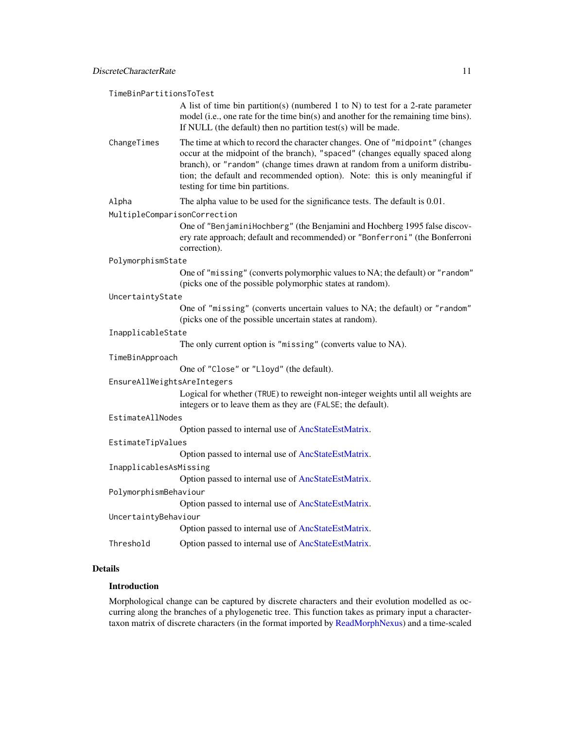<span id="page-10-0"></span>TimeBinPartitionsToTest

A list of time bin partition(s) (numbered 1 to N) to test for a 2-rate parameter model (i.e., one rate for the time bin(s) and another for the remaining time bins). If NULL (the default) then no partition test(s) will be made.

ChangeTimes The time at which to record the character changes. One of "midpoint" (changes occur at the midpoint of the branch), "spaced" (changes equally spaced along branch), or "random" (change times drawn at random from a uniform distribution; the default and recommended option). Note: this is only meaningful if testing for time bin partitions.

Alpha The alpha value to be used for the significance tests. The default is 0.01.

MultipleComparisonCorrection

One of "BenjaminiHochberg" (the Benjamini and Hochberg 1995 false discovery rate approach; default and recommended) or "Bonferroni" (the Bonferroni correction).

#### PolymorphismState

One of "missing" (converts polymorphic values to NA; the default) or "random" (picks one of the possible polymorphic states at random).

#### UncertaintyState

One of "missing" (converts uncertain values to NA; the default) or "random" (picks one of the possible uncertain states at random).

#### InapplicableState

The only current option is "missing" (converts value to NA).

#### TimeBinApproach

One of "Close" or "Lloyd" (the default).

#### EnsureAllWeightsAreIntegers

Logical for whether (TRUE) to reweight non-integer weights until all weights are integers or to leave them as they are (FALSE; the default).

#### EstimateAllNodes

Option passed to internal use of [AncStateEstMatrix.](#page-2-1)

# EstimateTipValues

Option passed to internal use of [AncStateEstMatrix.](#page-2-1)

InapplicablesAsMissing

Option passed to internal use of [AncStateEstMatrix.](#page-2-1)

#### PolymorphismBehaviour

Option passed to internal use of [AncStateEstMatrix.](#page-2-1)

# UncertaintyBehaviour

Option passed to internal use of [AncStateEstMatrix.](#page-2-1)

#### Threshold Option passed to internal use of [AncStateEstMatrix.](#page-2-1)

#### Details

# Introduction

Morphological change can be captured by discrete characters and their evolution modelled as occurring along the branches of a phylogenetic tree. This function takes as primary input a charactertaxon matrix of discrete characters (in the format imported by [ReadMorphNexus\)](#page-42-1) and a time-scaled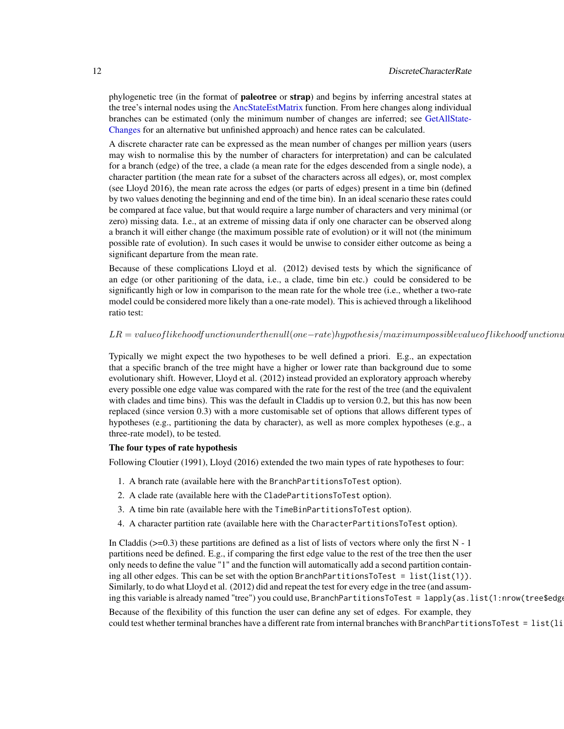<span id="page-11-0"></span>phylogenetic tree (in the format of **paleotree** or **strap**) and begins by inferring ancestral states at the tree's internal nodes using the [AncStateEstMatrix](#page-2-1) function. From here changes along individual branches can be estimated (only the minimum number of changes are inferred; see [GetAllState-](#page-22-1)[Changes](#page-22-1) for an alternative but unfinished approach) and hence rates can be calculated.

A discrete character rate can be expressed as the mean number of changes per million years (users may wish to normalise this by the number of characters for interpretation) and can be calculated for a branch (edge) of the tree, a clade (a mean rate for the edges descended from a single node), a character partition (the mean rate for a subset of the characters across all edges), or, most complex (see Lloyd 2016), the mean rate across the edges (or parts of edges) present in a time bin (defined by two values denoting the beginning and end of the time bin). In an ideal scenario these rates could be compared at face value, but that would require a large number of characters and very minimal (or zero) missing data. I.e., at an extreme of missing data if only one character can be observed along a branch it will either change (the maximum possible rate of evolution) or it will not (the minimum possible rate of evolution). In such cases it would be unwise to consider either outcome as being a significant departure from the mean rate.

Because of these complications Lloyd et al. (2012) devised tests by which the significance of an edge (or other paritioning of the data, i.e., a clade, time bin etc.) could be considered to be significantly high or low in comparison to the mean rate for the whole tree (i.e., whether a two-rate model could be considered more likely than a one-rate model). This is achieved through a likelihood ratio test:

#### $LR = value of likehood function under the null (one-rate) hypothesis/maximum possible value of likehood function under the null (one-rate) is true.$

Typically we might expect the two hypotheses to be well defined a priori. E.g., an expectation that a specific branch of the tree might have a higher or lower rate than background due to some evolutionary shift. However, Lloyd et al. (2012) instead provided an exploratory approach whereby every possible one edge value was compared with the rate for the rest of the tree (and the equivalent with clades and time bins). This was the default in Claddis up to version 0.2, but this has now been replaced (since version 0.3) with a more customisable set of options that allows different types of hypotheses (e.g., partitioning the data by character), as well as more complex hypotheses (e.g., a three-rate model), to be tested.

#### The four types of rate hypothesis

Following Cloutier (1991), Lloyd (2016) extended the two main types of rate hypotheses to four:

- 1. A branch rate (available here with the BranchPartitionsToTest option).
- 2. A clade rate (available here with the CladePartitionsToTest option).
- 3. A time bin rate (available here with the TimeBinPartitionsToTest option).
- 4. A character partition rate (available here with the CharacterPartitionsToTest option).

In Claddis  $(\geq=0.3)$  these partitions are defined as a list of lists of vectors where only the first N - 1 partitions need be defined. E.g., if comparing the first edge value to the rest of the tree then the user only needs to define the value "1" and the function will automatically add a second partition containing all other edges. This can be set with the option BranchPartitionsToTest = list(list(1)). Similarly, to do what Lloyd et al. (2012) did and repeat the test for every edge in the tree (and assuming this variable is already named "tree") you could use, BranchPartitionsToTest = lapply(as.list(1:nrow(tree\$edge

Because of the flexibility of this function the user can define any set of edges. For example, they could test whether terminal branches have a different rate from internal branches with BranchPartitionsToTest =  $list(1i)$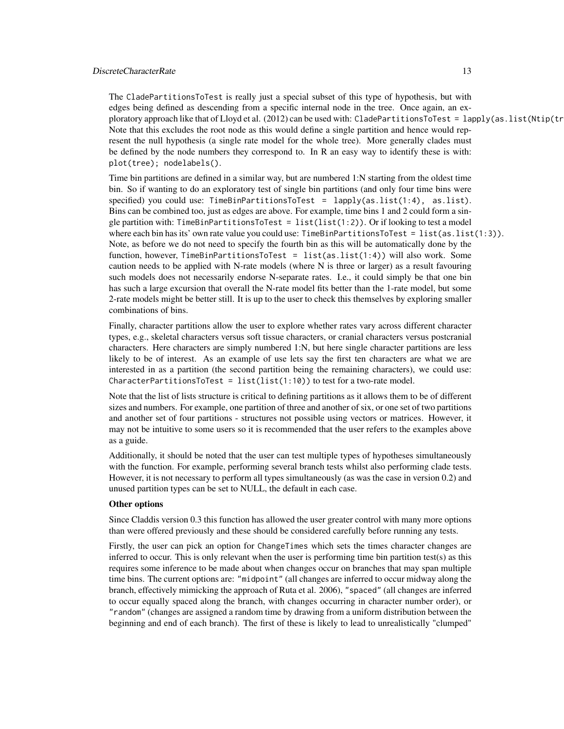#### DiscreteCharacterRate 13

The CladePartitionsToTest is really just a special subset of this type of hypothesis, but with edges being defined as descending from a specific internal node in the tree. Once again, an exploratory approach like that of Lloyd et al. (2012) can be used with: CladePartitionsToTest = lapply(as.list(Ntip(tr Note that this excludes the root node as this would define a single partition and hence would represent the null hypothesis (a single rate model for the whole tree). More generally clades must be defined by the node numbers they correspond to. In R an easy way to identify these is with: plot(tree); nodelabels().

Time bin partitions are defined in a similar way, but are numbered 1:N starting from the oldest time bin. So if wanting to do an exploratory test of single bin partitions (and only four time bins were specified) you could use: TimeBinPartitionsToTest =  $l$ apply(as.list(1:4), as.list). Bins can be combined too, just as edges are above. For example, time bins 1 and 2 could form a single partition with: TimeBinPartitionsToTest =  $list(list(1:2))$ . Or if looking to test a model where each bin has its' own rate value you could use: TimeBinPartitionsToTest = list(as.list(1:3)). Note, as before we do not need to specify the fourth bin as this will be automatically done by the function, however, TimeBinPartitionsToTest = list(as.list(1:4)) will also work. Some caution needs to be applied with N-rate models (where N is three or larger) as a result favouring such models does not necessarily endorse N-separate rates. I.e., it could simply be that one bin has such a large excursion that overall the N-rate model fits better than the 1-rate model, but some 2-rate models might be better still. It is up to the user to check this themselves by exploring smaller combinations of bins.

Finally, character partitions allow the user to explore whether rates vary across different character types, e.g., skeletal characters versus soft tissue characters, or cranial characters versus postcranial characters. Here characters are simply numbered 1:N, but here single character partitions are less likely to be of interest. As an example of use lets say the first ten characters are what we are interested in as a partition (the second partition being the remaining characters), we could use: CharacterPartitionsToTest =  $list(list(1:10))$  to test for a two-rate model.

Note that the list of lists structure is critical to defining partitions as it allows them to be of different sizes and numbers. For example, one partition of three and another of six, or one set of two partitions and another set of four partitions - structures not possible using vectors or matrices. However, it may not be intuitive to some users so it is recommended that the user refers to the examples above as a guide.

Additionally, it should be noted that the user can test multiple types of hypotheses simultaneously with the function. For example, performing several branch tests whilst also performing clade tests. However, it is not necessary to perform all types simultaneously (as was the case in version 0.2) and unused partition types can be set to NULL, the default in each case.

#### Other options

Since Claddis version 0.3 this function has allowed the user greater control with many more options than were offered previously and these should be considered carefully before running any tests.

Firstly, the user can pick an option for ChangeTimes which sets the times character changes are inferred to occur. This is only relevant when the user is performing time bin partition test(s) as this requires some inference to be made about when changes occur on branches that may span multiple time bins. The current options are: "midpoint" (all changes are inferred to occur midway along the branch, effectively mimicking the approach of Ruta et al. 2006), "spaced" (all changes are inferred to occur equally spaced along the branch, with changes occurring in character number order), or "random" (changes are assigned a random time by drawing from a uniform distribution between the beginning and end of each branch). The first of these is likely to lead to unrealistically "clumped"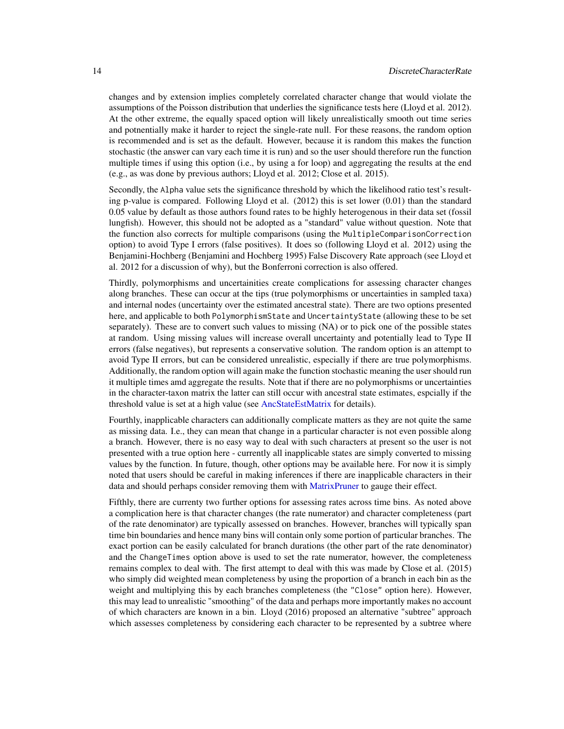<span id="page-13-0"></span>changes and by extension implies completely correlated character change that would violate the assumptions of the Poisson distribution that underlies the significance tests here (Lloyd et al. 2012). At the other extreme, the equally spaced option will likely unrealistically smooth out time series and potnentially make it harder to reject the single-rate null. For these reasons, the random option is recommended and is set as the default. However, because it is random this makes the function stochastic (the answer can vary each time it is run) and so the user should therefore run the function multiple times if using this option (i.e., by using a for loop) and aggregating the results at the end (e.g., as was done by previous authors; Lloyd et al. 2012; Close et al. 2015).

Secondly, the Alpha value sets the significance threshold by which the likelihood ratio test's resulting p-value is compared. Following Lloyd et al. (2012) this is set lower (0.01) than the standard 0.05 value by default as those authors found rates to be highly heterogenous in their data set (fossil lungfish). However, this should not be adopted as a "standard" value without question. Note that the function also corrects for multiple comparisons (using the MultipleComparisonCorrection option) to avoid Type I errors (false positives). It does so (following Lloyd et al. 2012) using the Benjamini-Hochberg (Benjamini and Hochberg 1995) False Discovery Rate approach (see Lloyd et al. 2012 for a discussion of why), but the Bonferroni correction is also offered.

Thirdly, polymorphisms and uncertainities create complications for assessing character changes along branches. These can occur at the tips (true polymorphisms or uncertainties in sampled taxa) and internal nodes (uncertainty over the estimated ancestral state). There are two options presented here, and applicable to both PolymorphismState and UncertaintyState (allowing these to be set separately). These are to convert such values to missing (NA) or to pick one of the possible states at random. Using missing values will increase overall uncertainty and potentially lead to Type II errors (false negatives), but represents a conservative solution. The random option is an attempt to avoid Type II errors, but can be considered unrealistic, especially if there are true polymorphisms. Additionally, the random option will again make the function stochastic meaning the user should run it multiple times amd aggregate the results. Note that if there are no polymorphisms or uncertainties in the character-taxon matrix the latter can still occur with ancestral state estimates, espcially if the threshold value is set at a high value (see [AncStateEstMatrix](#page-2-1) for details).

Fourthly, inapplicable characters can additionally complicate matters as they are not quite the same as missing data. I.e., they can mean that change in a particular character is not even possible along a branch. However, there is no easy way to deal with such characters at present so the user is not presented with a true option here - currently all inapplicable states are simply converted to missing values by the function. In future, though, other options may be available here. For now it is simply noted that users should be careful in making inferences if there are inapplicable characters in their data and should perhaps consider removing them with [MatrixPruner](#page-28-1) to gauge their effect.

Fifthly, there are currenty two further options for assessing rates across time bins. As noted above a complication here is that character changes (the rate numerator) and character completeness (part of the rate denominator) are typically assessed on branches. However, branches will typically span time bin boundaries and hence many bins will contain only some portion of particular branches. The exact portion can be easily calculated for branch durations (the other part of the rate denominator) and the ChangeTimes option above is used to set the rate numerator, however, the completeness remains complex to deal with. The first attempt to deal with this was made by Close et al. (2015) who simply did weighted mean completeness by using the proportion of a branch in each bin as the weight and multiplying this by each branches completeness (the "Close" option here). However, this may lead to unrealistic "smoothing" of the data and perhaps more importantly makes no account of which characters are known in a bin. Lloyd (2016) proposed an alternative "subtree" approach which assesses completeness by considering each character to be represented by a subtree where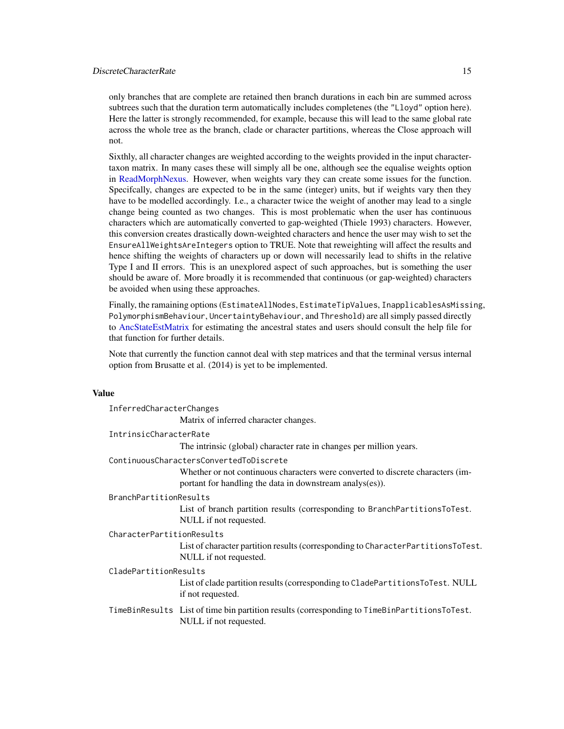# <span id="page-14-0"></span>DiscreteCharacterRate 15

only branches that are complete are retained then branch durations in each bin are summed across subtrees such that the duration term automatically includes completenes (the "Lloyd" option here). Here the latter is strongly recommended, for example, because this will lead to the same global rate across the whole tree as the branch, clade or character partitions, whereas the Close approach will not.

Sixthly, all character changes are weighted according to the weights provided in the input charactertaxon matrix. In many cases these will simply all be one, although see the equalise weights option in [ReadMorphNexus.](#page-42-1) However, when weights vary they can create some issues for the function. Specifcally, changes are expected to be in the same (integer) units, but if weights vary then they have to be modelled accordingly. I.e., a character twice the weight of another may lead to a single change being counted as two changes. This is most problematic when the user has continuous characters which are automatically converted to gap-weighted (Thiele 1993) characters. However, this conversion creates drastically down-weighted characters and hence the user may wish to set the EnsureAllWeightsAreIntegers option to TRUE. Note that reweighting will affect the results and hence shifting the weights of characters up or down will necessarily lead to shifts in the relative Type I and II errors. This is an unexplored aspect of such approaches, but is something the user should be aware of. More broadly it is recommended that continuous (or gap-weighted) characters be avoided when using these approaches.

Finally, the ramaining options (EstimateAllNodes, EstimateTipValues, InapplicablesAsMissing, PolymorphismBehaviour, UncertaintyBehaviour, and Threshold) are all simply passed directly to [AncStateEstMatrix](#page-2-1) for estimating the ancestral states and users should consult the help file for that function for further details.

Note that currently the function cannot deal with step matrices and that the terminal versus internal option from Brusatte et al. (2014) is yet to be implemented.

#### Value

|                               | InferredCharacterChanges                                                                                                                    |  |  |  |  |  |  |
|-------------------------------|---------------------------------------------------------------------------------------------------------------------------------------------|--|--|--|--|--|--|
|                               | Matrix of inferred character changes.                                                                                                       |  |  |  |  |  |  |
| IntrinsicCharacterRate        |                                                                                                                                             |  |  |  |  |  |  |
|                               | The intrinsic (global) character rate in changes per million years.                                                                         |  |  |  |  |  |  |
|                               | ContinuousCharactersConvertedToDiscrete                                                                                                     |  |  |  |  |  |  |
|                               | Whether or not continuous characters were converted to discrete characters (im-<br>portant for handling the data in downstream analys(es)). |  |  |  |  |  |  |
| <b>BranchPartitionResults</b> |                                                                                                                                             |  |  |  |  |  |  |
|                               | List of branch partition results (corresponding to BranchPartitionsToTest.<br>NULL if not requested.                                        |  |  |  |  |  |  |
| CharacterPartitionResults     |                                                                                                                                             |  |  |  |  |  |  |
|                               | List of character partition results (corresponding to CharacterPartitionsToTest.<br>NULL if not requested.                                  |  |  |  |  |  |  |
|                               | CladePartitionResults                                                                                                                       |  |  |  |  |  |  |
|                               | List of clade partition results (corresponding to CladePartitionsToTest. NULL<br>if not requested.                                          |  |  |  |  |  |  |
|                               | TimeBinResults List of time bin partition results (corresponding to TimeBinPartitionsToTest.<br>NULL if not requested.                      |  |  |  |  |  |  |
|                               |                                                                                                                                             |  |  |  |  |  |  |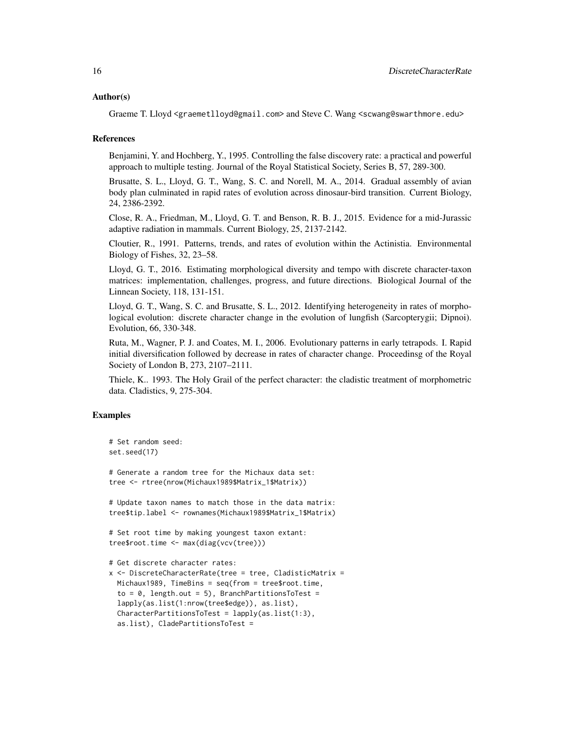#### Author(s)

Graeme T. Lloyd <graemetlloyd@gmail.com> and Steve C. Wang <scwang@swarthmore.edu>

#### References

Benjamini, Y. and Hochberg, Y., 1995. Controlling the false discovery rate: a practical and powerful approach to multiple testing. Journal of the Royal Statistical Society, Series B, 57, 289-300.

Brusatte, S. L., Lloyd, G. T., Wang, S. C. and Norell, M. A., 2014. Gradual assembly of avian body plan culminated in rapid rates of evolution across dinosaur-bird transition. Current Biology, 24, 2386-2392.

Close, R. A., Friedman, M., Lloyd, G. T. and Benson, R. B. J., 2015. Evidence for a mid-Jurassic adaptive radiation in mammals. Current Biology, 25, 2137-2142.

Cloutier, R., 1991. Patterns, trends, and rates of evolution within the Actinistia. Environmental Biology of Fishes, 32, 23–58.

Lloyd, G. T., 2016. Estimating morphological diversity and tempo with discrete character-taxon matrices: implementation, challenges, progress, and future directions. Biological Journal of the Linnean Society, 118, 131-151.

Lloyd, G. T., Wang, S. C. and Brusatte, S. L., 2012. Identifying heterogeneity in rates of morphological evolution: discrete character change in the evolution of lungfish (Sarcopterygii; Dipnoi). Evolution, 66, 330-348.

Ruta, M., Wagner, P. J. and Coates, M. I., 2006. Evolutionary patterns in early tetrapods. I. Rapid initial diversification followed by decrease in rates of character change. Proceedinsg of the Royal Society of London B, 273, 2107–2111.

Thiele, K.. 1993. The Holy Grail of the perfect character: the cladistic treatment of morphometric data. Cladistics, 9, 275-304.

```
# Set random seed:
set.seed(17)
# Generate a random tree for the Michaux data set:
tree <- rtree(nrow(Michaux1989$Matrix_1$Matrix))
# Update taxon names to match those in the data matrix:
tree$tip.label <- rownames(Michaux1989$Matrix_1$Matrix)
# Set root time by making youngest taxon extant:
tree$root.time <- max(diag(vcv(tree)))
# Get discrete character rates:
x <- DiscreteCharacterRate(tree = tree, CladisticMatrix =
 Michaux1989, TimeBins = seq(from = tree$root.time,
  to = 0, length.out = 5), BranchPartitionsToTest =
 lapply(as.list(1:nrow(tree$edge)), as.list),
 CharacterPartitionsToTest = lapply(as.list(1:3),
 as.list), CladePartitionsToTest =
```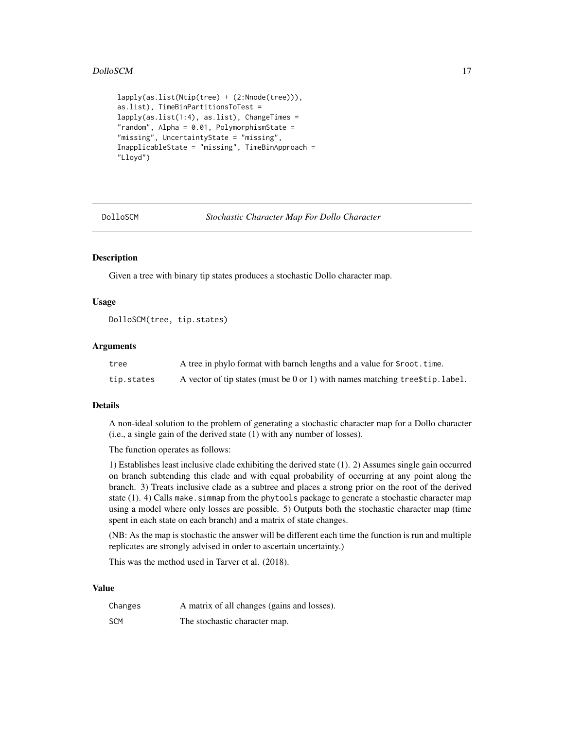#### <span id="page-16-0"></span>DolloSCM 17

```
lapply(as.list(Ntip(tree) + (2:Nnode(tree))),
as.list), TimeBinPartitionsToTest =
lapply(as.list(1:4), as.list), ChangeTimes =
"random", Alpha = 0.01, PolymorphismState =
"missing", UncertaintyState = "missing",
InapplicableState = "missing", TimeBinApproach =
"Lloyd")
```
DolloSCM *Stochastic Character Map For Dollo Character*

# Description

Given a tree with binary tip states produces a stochastic Dollo character map.

#### Usage

DolloSCM(tree, tip.states)

#### Arguments

| tree       | A tree in phylo format with barnch lengths and a value for \$root.time.        |
|------------|--------------------------------------------------------------------------------|
| tip.states | A vector of tip states (must be 0 or 1) with names matching tree \$tip. label. |

#### Details

A non-ideal solution to the problem of generating a stochastic character map for a Dollo character (i.e., a single gain of the derived state (1) with any number of losses).

The function operates as follows:

1) Establishes least inclusive clade exhibiting the derived state (1). 2) Assumes single gain occurred on branch subtending this clade and with equal probability of occurring at any point along the branch. 3) Treats inclusive clade as a subtree and places a strong prior on the root of the derived state (1). 4) Calls make. simmap from the phytools package to generate a stochastic character map using a model where only losses are possible. 5) Outputs both the stochastic character map (time spent in each state on each branch) and a matrix of state changes.

(NB: As the map is stochastic the answer will be different each time the function is run and multiple replicates are strongly advised in order to ascertain uncertainty.)

This was the method used in Tarver et al. (2018).

#### Value

| Changes    | A matrix of all changes (gains and losses). |
|------------|---------------------------------------------|
| <b>SCM</b> | The stochastic character map.               |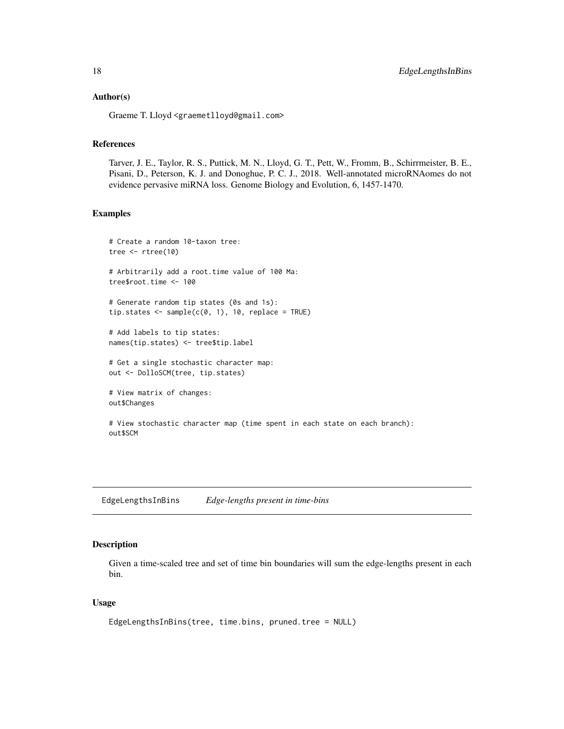#### <span id="page-17-0"></span>Author(s)

Graeme T. Lloyd <graemetlloyd@gmail.com>

# References

Tarver, J. E., Taylor, R. S., Puttick, M. N., Lloyd, G. T., Pett, W., Fromm, B., Schirrmeister, B. E., Pisani, D., Peterson, K. J. and Donoghue, P. C. J., 2018. Well-annotated microRNAomes do not evidence pervasive miRNA loss. Genome Biology and Evolution, 6, 1457-1470.

# Examples

```
# Create a random 10-taxon tree:
tree <- rtree(10)
# Arbitrarily add a root.time value of 100 Ma:
tree$root.time <- 100
# Generate random tip states (0s and 1s):
tip.states \leq sample(c(0, 1), 10, replace = TRUE)
# Add labels to tip states:
names(tip.states) <- tree$tip.label
# Get a single stochastic character map:
out <- DolloSCM(tree, tip.states)
# View matrix of changes:
out$Changes
```
EdgeLengthsInBins *Edge-lengths present in time-bins*

# View stochastic character map (time spent in each state on each branch):

# Description

out\$SCM

Given a time-scaled tree and set of time bin boundaries will sum the edge-lengths present in each bin.

# Usage

```
EdgeLengthsInBins(tree, time.bins, pruned.tree = NULL)
```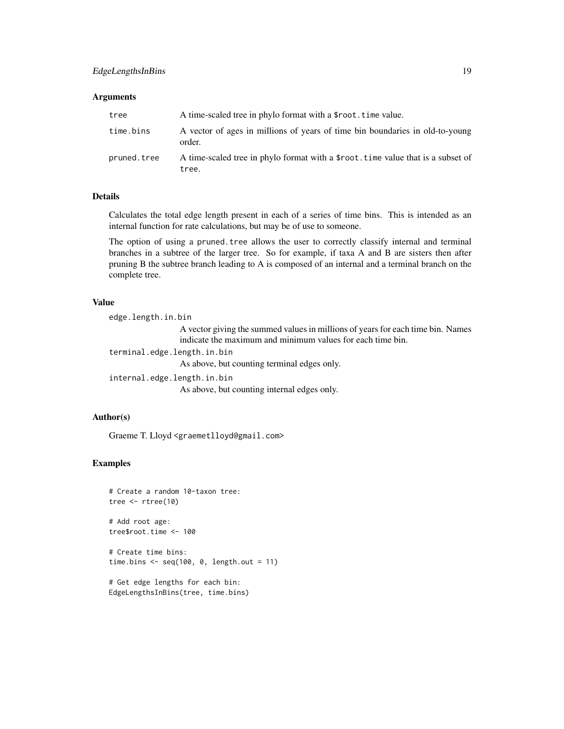#### **Arguments**

| tree        | A time-scaled tree in phylo format with a \$root. time value.                             |
|-------------|-------------------------------------------------------------------------------------------|
| time.bins   | A vector of ages in millions of years of time bin boundaries in old-to-young<br>order.    |
| pruned.tree | A time-scaled tree in phylo format with a \$root, time value that is a subset of<br>tree. |

# Details

Calculates the total edge length present in each of a series of time bins. This is intended as an internal function for rate calculations, but may be of use to someone.

The option of using a pruned. tree allows the user to correctly classify internal and terminal branches in a subtree of the larger tree. So for example, if taxa A and B are sisters then after pruning B the subtree branch leading to A is composed of an internal and a terminal branch on the complete tree.

# Value

edge.length.in.bin A vector giving the summed values in millions of years for each time bin. Names indicate the maximum and minimum values for each time bin. terminal.edge.length.in.bin As above, but counting terminal edges only. internal.edge.length.in.bin As above, but counting internal edges only.

# Author(s)

Graeme T. Lloyd <graemetlloyd@gmail.com>

#### Examples

```
# Create a random 10-taxon tree:
tree <- rtree(10)
```
# Add root age: tree\$root.time <- 100

```
# Create time bins:
time.bins <- seq(100, 0, length.out = 11)
```

```
# Get edge lengths for each bin:
EdgeLengthsInBins(tree, time.bins)
```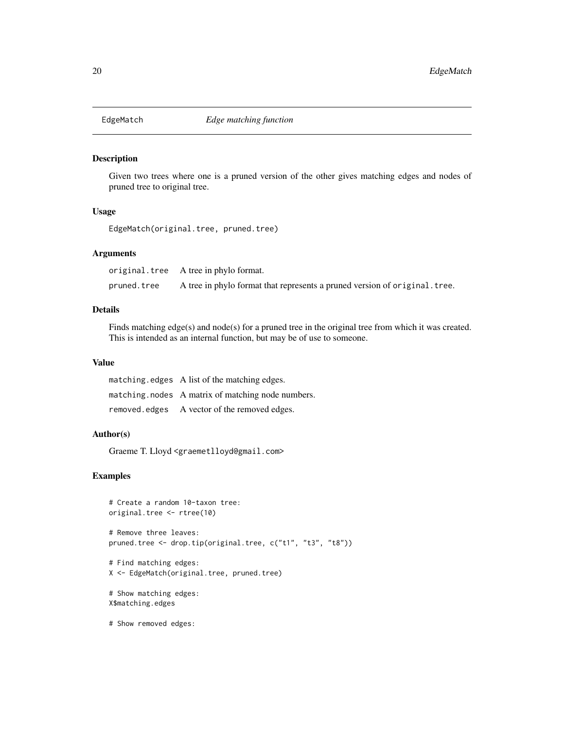<span id="page-19-0"></span>

# Description

Given two trees where one is a pruned version of the other gives matching edges and nodes of pruned tree to original tree.

# Usage

EdgeMatch(original.tree, pruned.tree)

# Arguments

original.tree A tree in phylo format. pruned.tree A tree in phylo format that represents a pruned version of original.tree.

# Details

Finds matching edge(s) and node(s) for a pruned tree in the original tree from which it was created. This is intended as an internal function, but may be of use to someone.

# Value

| matching edges A list of the matching edges.       |
|----------------------------------------------------|
| matching, nodes A matrix of matching node numbers. |
| removed edges A vector of the removed edges.       |

#### Author(s)

Graeme T. Lloyd <graemetlloyd@gmail.com>

# Examples

```
# Create a random 10-taxon tree:
original.tree <- rtree(10)
# Remove three leaves:
pruned.tree <- drop.tip(original.tree, c("t1", "t3", "t8"))
# Find matching edges:
X <- EdgeMatch(original.tree, pruned.tree)
# Show matching edges:
```
X\$matching.edges

# Show removed edges: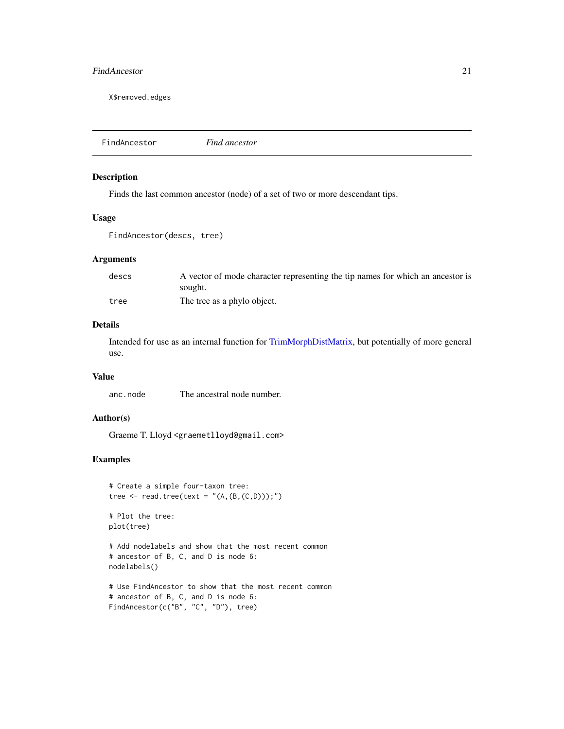# <span id="page-20-0"></span>FindAncestor 21

X\$removed.edges

FindAncestor *Find ancestor*

# Description

Finds the last common ancestor (node) of a set of two or more descendant tips.

# Usage

```
FindAncestor(descs, tree)
```
#### Arguments

| descs | A vector of mode character representing the tip names for which an ancestor is |
|-------|--------------------------------------------------------------------------------|
|       | sought.                                                                        |
| tree  | The tree as a phylo object.                                                    |

# Details

Intended for use as an internal function for [TrimMorphDistMatrix,](#page-48-1) but potentially of more general use.

#### Value

anc.node The ancestral node number.

#### Author(s)

Graeme T. Lloyd <graemetlloyd@gmail.com>

```
# Create a simple four-taxon tree:
tree \leq read.tree(text = "(A,(B,(C,D)));")
# Plot the tree:
plot(tree)
# Add nodelabels and show that the most recent common
# ancestor of B, C, and D is node 6:
nodelabels()
# Use FindAncestor to show that the most recent common
# ancestor of B, C, and D is node 6:
FindAncestor(c("B", "C", "D"), tree)
```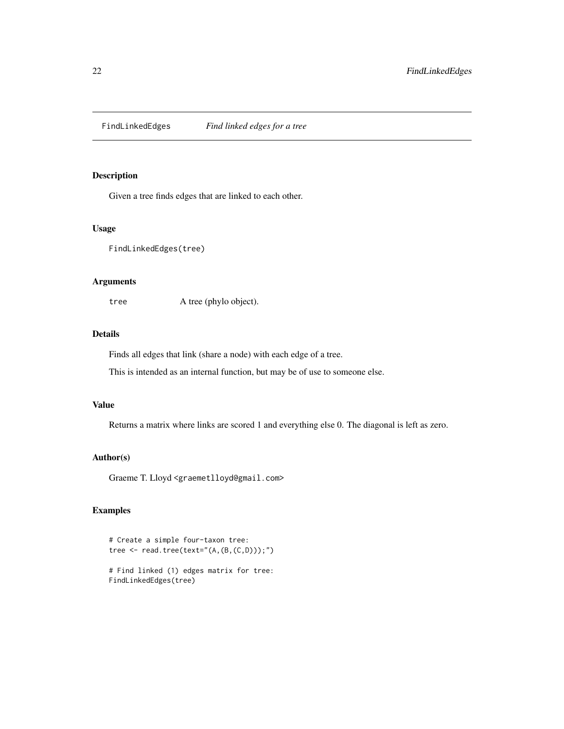<span id="page-21-0"></span>FindLinkedEdges *Find linked edges for a tree*

# Description

Given a tree finds edges that are linked to each other.

# Usage

FindLinkedEdges(tree)

# Arguments

tree A tree (phylo object).

# Details

Finds all edges that link (share a node) with each edge of a tree.

This is intended as an internal function, but may be of use to someone else.

# Value

Returns a matrix where links are scored 1 and everything else 0. The diagonal is left as zero.

# Author(s)

Graeme T. Lloyd <graemetlloyd@gmail.com>

```
# Create a simple four-taxon tree:
tree \leq read.tree(text="(A,(B,(C,D)));")
```

```
# Find linked (1) edges matrix for tree:
FindLinkedEdges(tree)
```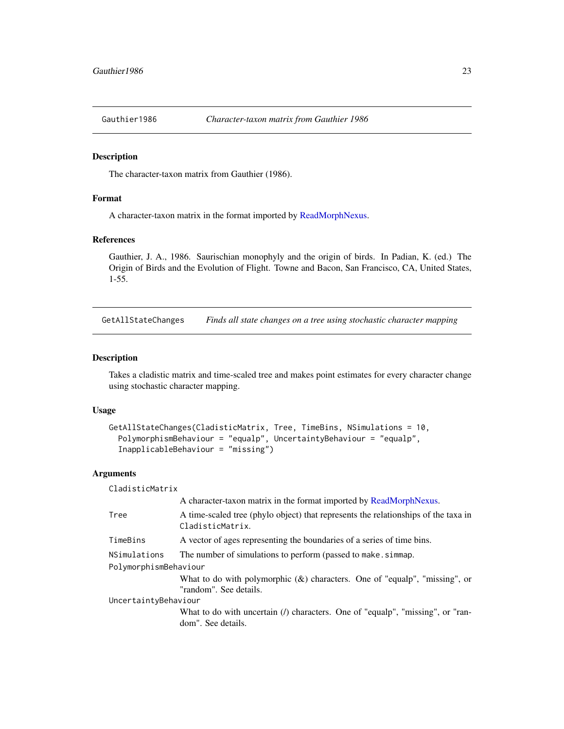<span id="page-22-0"></span>

#### Description

The character-taxon matrix from Gauthier (1986).

# Format

A character-taxon matrix in the format imported by [ReadMorphNexus.](#page-42-1)

#### References

Gauthier, J. A., 1986. Saurischian monophyly and the origin of birds. In Padian, K. (ed.) The Origin of Birds and the Evolution of Flight. Towne and Bacon, San Francisco, CA, United States, 1-55.

<span id="page-22-1"></span>GetAllStateChanges *Finds all state changes on a tree using stochastic character mapping*

#### Description

Takes a cladistic matrix and time-scaled tree and makes point estimates for every character change using stochastic character mapping.

#### Usage

```
GetAllStateChanges(CladisticMatrix, Tree, TimeBins, NSimulations = 10,
 PolymorphismBehaviour = "equalp", UncertaintyBehaviour = "equalp",
 InapplicableBehaviour = "missing")
```
#### Arguments

CladisticMatrix

|                       | A character-taxon matrix in the format imported by ReadMorphNexus.                                            |  |
|-----------------------|---------------------------------------------------------------------------------------------------------------|--|
| Tree                  | A time-scaled tree (phylo object) that represents the relationships of the taxa in<br>CladisticMatrix.        |  |
| TimeBins              | A vector of ages representing the boundaries of a series of time bins.                                        |  |
| NSimulations          | The number of simulations to perform (passed to make. simmap.                                                 |  |
| PolymorphismBehaviour |                                                                                                               |  |
|                       | What to do with polymorphic $(x)$ characters. One of "equalp", "missing", or<br>"random". See details.        |  |
| UncertaintyBehaviour  |                                                                                                               |  |
|                       | What to do with uncertain ( <i>l</i> ) characters. One of "equalp", "missing", or "ran-<br>dom". See details. |  |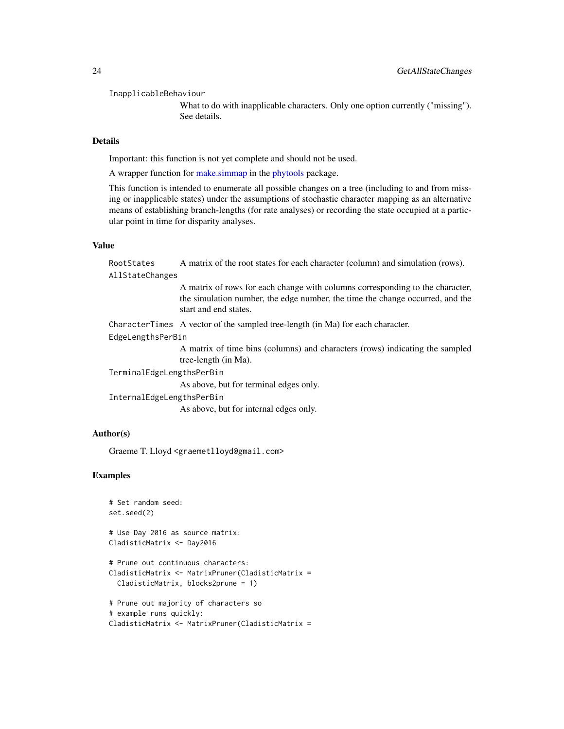<span id="page-23-0"></span>InapplicableBehaviour

What to do with inapplicable characters. Only one option currently ("missing"). See details.

# Details

Important: this function is not yet complete and should not be used.

A wrapper function for [make.simmap](#page-0-0) in the [phytools](#page-0-0) package.

This function is intended to enumerate all possible changes on a tree (including to and from missing or inapplicable states) under the assumptions of stochastic character mapping as an alternative means of establishing branch-lengths (for rate analyses) or recording the state occupied at a particular point in time for disparity analyses.

#### Value

RootStates A matrix of the root states for each character (column) and simulation (rows). AllStateChanges

> A matrix of rows for each change with columns corresponding to the character, the simulation number, the edge number, the time the change occurred, and the start and end states.

CharacterTimes A vector of the sampled tree-length (in Ma) for each character.

#### EdgeLengthsPerBin

A matrix of time bins (columns) and characters (rows) indicating the sampled tree-length (in Ma).

TerminalEdgeLengthsPerBin

As above, but for terminal edges only.

InternalEdgeLengthsPerBin

As above, but for internal edges only.

#### Author(s)

Graeme T. Lloyd <graemetlloyd@gmail.com>

```
# Set random seed:
set.seed(2)
# Use Day 2016 as source matrix:
CladisticMatrix <- Day2016
# Prune out continuous characters:
CladisticMatrix <- MatrixPruner(CladisticMatrix =
 CladisticMatrix, blocks2prune = 1)
# Prune out majority of characters so
# example runs quickly:
CladisticMatrix <- MatrixPruner(CladisticMatrix =
```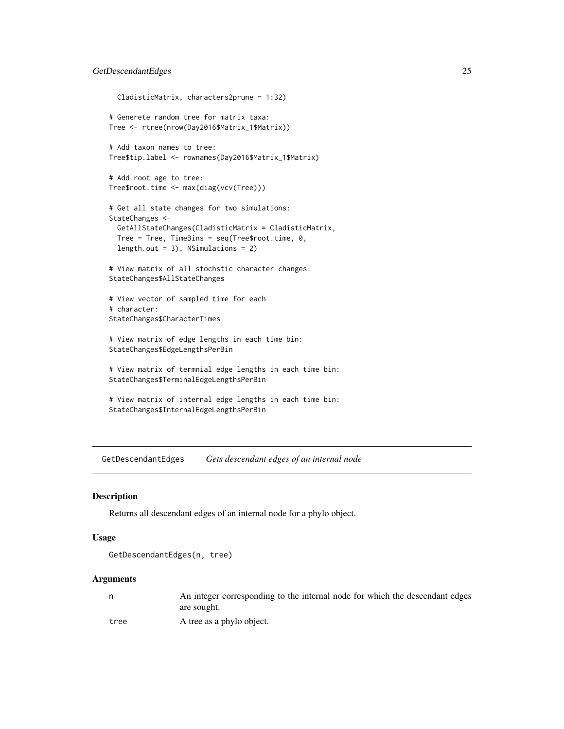# <span id="page-24-0"></span>GetDescendantEdges 25

```
CladisticMatrix, characters2prune = 1:32)
# Generete random tree for matrix taxa:
Tree <- rtree(nrow(Day2016$Matrix_1$Matrix))
# Add taxon names to tree:
Tree$tip.label <- rownames(Day2016$Matrix_1$Matrix)
# Add root age to tree:
Tree$root.time <- max(diag(vcv(Tree)))
# Get all state changes for two simulations:
StateChanges <-
 GetAllStateChanges(CladisticMatrix = CladisticMatrix,
 Tree = Tree, TimeBins = seq(Tree$root.time, 0,
 length.out = 3), NSimulations = 2)
# View matrix of all stochstic character changes:
StateChanges$AllStateChanges
# View vector of sampled time for each
# character:
StateChanges$CharacterTimes
# View matrix of edge lengths in each time bin:
StateChanges$EdgeLengthsPerBin
# View matrix of termnial edge lengths in each time bin:
StateChanges$TerminalEdgeLengthsPerBin
# View matrix of internal edge lengths in each time bin:
StateChanges$InternalEdgeLengthsPerBin
```
GetDescendantEdges *Gets descendant edges of an internal node*

# Description

Returns all descendant edges of an internal node for a phylo object.

#### Usage

```
GetDescendantEdges(n, tree)
```
#### Arguments

|      | An integer corresponding to the internal node for which the descendant edges |
|------|------------------------------------------------------------------------------|
|      | are sought.                                                                  |
| tree | A tree as a phylo object.                                                    |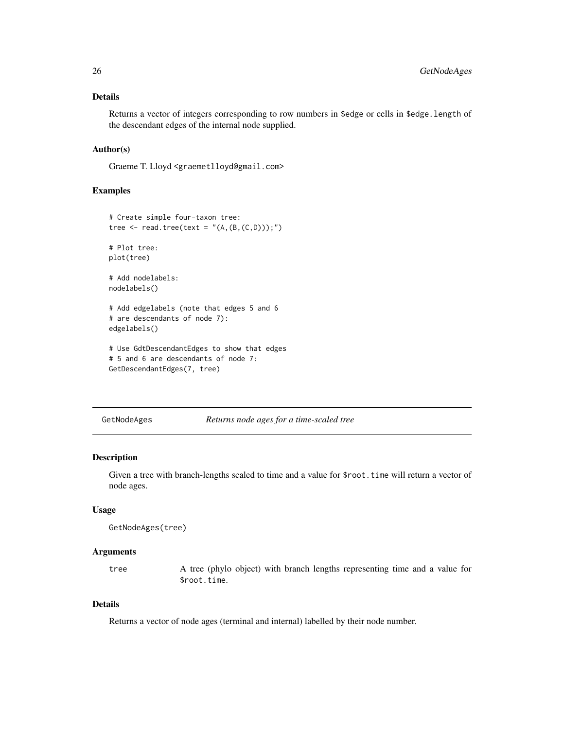# <span id="page-25-0"></span>Details

Returns a vector of integers corresponding to row numbers in \$edge or cells in \$edge.length of the descendant edges of the internal node supplied.

# Author(s)

Graeme T. Lloyd <graemetlloyd@gmail.com>

# Examples

```
# Create simple four-taxon tree:
tree <- read.tree(text = "(A, (B, (C, D)));")
# Plot tree:
plot(tree)
# Add nodelabels:
nodelabels()
# Add edgelabels (note that edges 5 and 6
# are descendants of node 7):
edgelabels()
# Use GdtDescendantEdges to show that edges
# 5 and 6 are descendants of node 7:
GetDescendantEdges(7, tree)
```
GetNodeAges *Returns node ages for a time-scaled tree*

# Description

Given a tree with branch-lengths scaled to time and a value for \$root. time will return a vector of node ages.

# Usage

```
GetNodeAges(tree)
```
#### Arguments

tree A tree (phylo object) with branch lengths representing time and a value for \$root.time.

# Details

Returns a vector of node ages (terminal and internal) labelled by their node number.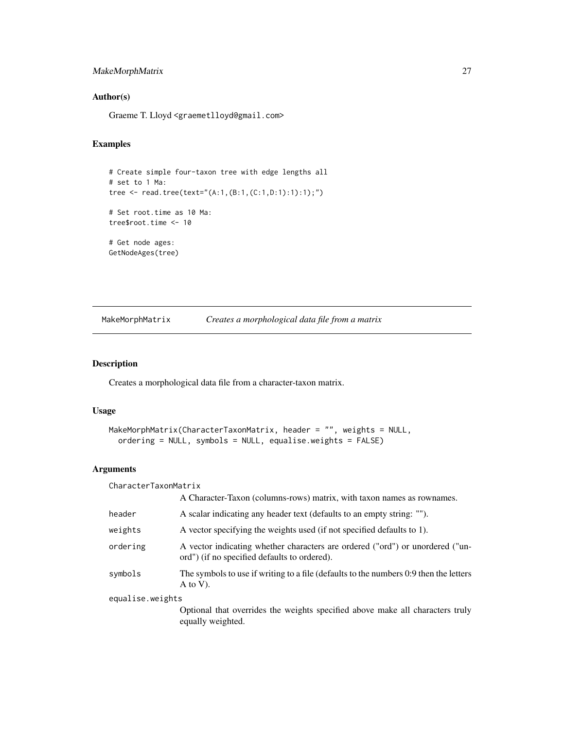# <span id="page-26-0"></span>MakeMorphMatrix 27

# Author(s)

Graeme T. Lloyd <graemetlloyd@gmail.com>

# Examples

```
# Create simple four-taxon tree with edge lengths all
# set to 1 Ma:
tree <- read.tree(text="(A:1,(B:1,(C:1,D:1):1):1);")
# Set root.time as 10 Ma:
tree$root.time <- 10
# Get node ages:
GetNodeAges(tree)
```
MakeMorphMatrix *Creates a morphological data file from a matrix*

# Description

Creates a morphological data file from a character-taxon matrix.

# Usage

```
MakeMorphMatrix(CharacterTaxonMatrix, header = "", weights = NULL,
 ordering = NULL, symbols = NULL, equalise.weights = FALSE)
```
# Arguments

| CharacterTaxonMatrix |                                                                                                                               |
|----------------------|-------------------------------------------------------------------------------------------------------------------------------|
|                      | A Character-Taxon (columns-rows) matrix, with taxon names as rownames.                                                        |
| header               | A scalar indicating any header text (defaults to an empty string: "").                                                        |
| weights              | A vector specifying the weights used (if not specified defaults to 1).                                                        |
| ordering             | A vector indicating whether characters are ordered ("ord") or unordered ("un-<br>ord") (if no specified defaults to ordered). |
| symbols              | The symbols to use if writing to a file (defaults to the numbers 0:9 then the letters<br>$A$ to V).                           |
| equalise.weights     |                                                                                                                               |
|                      | Optional that overrides the weights specified above make all characters truly<br>equally weighted.                            |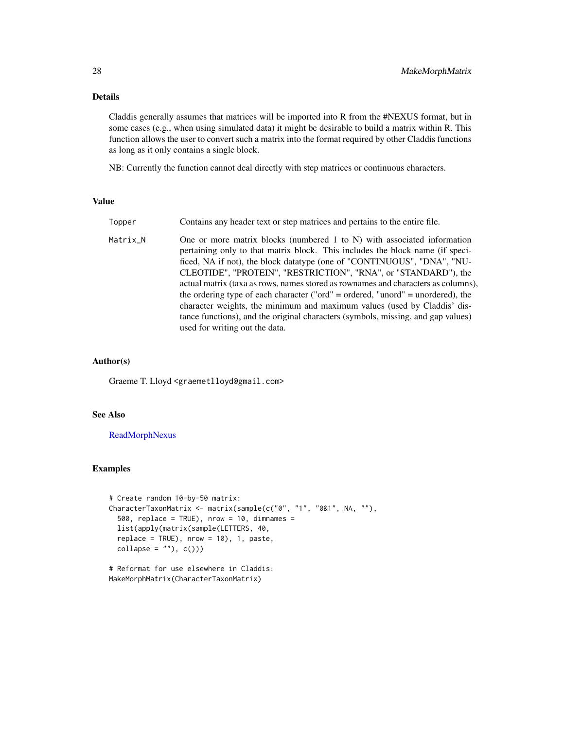# Details

Claddis generally assumes that matrices will be imported into R from the #NEXUS format, but in some cases (e.g., when using simulated data) it might be desirable to build a matrix within R. This function allows the user to convert such a matrix into the format required by other Claddis functions as long as it only contains a single block.

NB: Currently the function cannot deal directly with step matrices or continuous characters.

#### Value

| Topper   | Contains any header text or step matrices and pertains to the entire file.                                                                                                                                                                                                                                                                                                                                                                                                                                                                                                                                                                     |
|----------|------------------------------------------------------------------------------------------------------------------------------------------------------------------------------------------------------------------------------------------------------------------------------------------------------------------------------------------------------------------------------------------------------------------------------------------------------------------------------------------------------------------------------------------------------------------------------------------------------------------------------------------------|
| Matrix_N | One or more matrix blocks (numbered 1 to N) with associated information<br>pertaining only to that matrix block. This includes the block name (if speci-<br>ficed, NA if not), the block datatype (one of "CONTINUOUS", "DNA", "NU-<br>CLEOTIDE", "PROTEIN", "RESTRICTION", "RNA", or "STANDARD"), the<br>actual matrix (taxa as rows, names stored as rownames and characters as columns),<br>the ordering type of each character ("ord" = ordered, "unord" = unordered), the<br>character weights, the minimum and maximum values (used by Claddis' dis-<br>tance functions), and the original characters (symbols, missing, and gap values) |
|          | used for writing out the data.                                                                                                                                                                                                                                                                                                                                                                                                                                                                                                                                                                                                                 |

# Author(s)

Graeme T. Lloyd <graemetlloyd@gmail.com>

# See Also

[ReadMorphNexus](#page-42-1)

```
# Create random 10-by-50 matrix:
CharacterTaxonMatrix <- matrix(sample(c("0", "1", "0&1", NA, ""),
 500, replace = TRUE), nrow = 10, dimnames =
 list(apply(matrix(sample(LETTERS, 40,
 replace = TRUE, nrow = 10, 1, past,collapse = ""), c())
```

```
# Reformat for use elsewhere in Claddis:
MakeMorphMatrix(CharacterTaxonMatrix)
```
<span id="page-27-0"></span>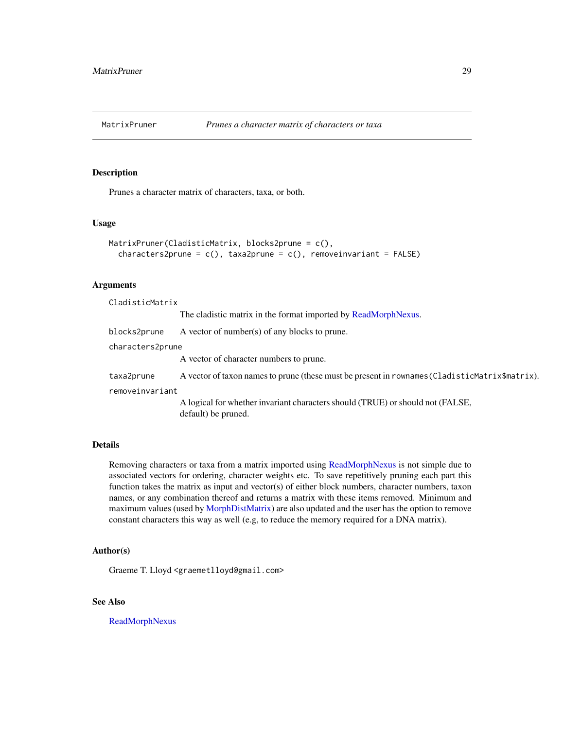<span id="page-28-1"></span><span id="page-28-0"></span>

# Description

Prunes a character matrix of characters, taxa, or both.

# Usage

```
MatrixPruner(CladisticMatrix, blocks2prune = c(),
  characters2prune = c(), taxa2prune = c(), removeinvariant = FALSE)
```
# Arguments

| CladisticMatrix  |                                                                                                       |  |
|------------------|-------------------------------------------------------------------------------------------------------|--|
|                  | The cladistic matrix in the format imported by ReadMorphNexus.                                        |  |
| blocks2prune     | A vector of number(s) of any blocks to prune.                                                         |  |
| characters2prune |                                                                                                       |  |
|                  | A vector of character numbers to prune.                                                               |  |
| taxa2prune       | A vector of taxon names to prune (these must be present in rownames (CladisticMatrix\$matrix).        |  |
| removeinvariant  |                                                                                                       |  |
|                  | A logical for whether invariant characters should (TRUE) or should not (FALSE,<br>default) be pruned. |  |
|                  |                                                                                                       |  |

# Details

Removing characters or taxa from a matrix imported using [ReadMorphNexus](#page-42-1) is not simple due to associated vectors for ordering, character weights etc. To save repetitively pruning each part this function takes the matrix as input and vector(s) of either block numbers, character numbers, taxon names, or any combination thereof and returns a matrix with these items removed. Minimum and maximum values (used by [MorphDistMatrix\)](#page-30-1) are also updated and the user has the option to remove constant characters this way as well (e.g, to reduce the memory required for a DNA matrix).

# Author(s)

Graeme T. Lloyd <graemetlloyd@gmail.com>

# See Also

[ReadMorphNexus](#page-42-1)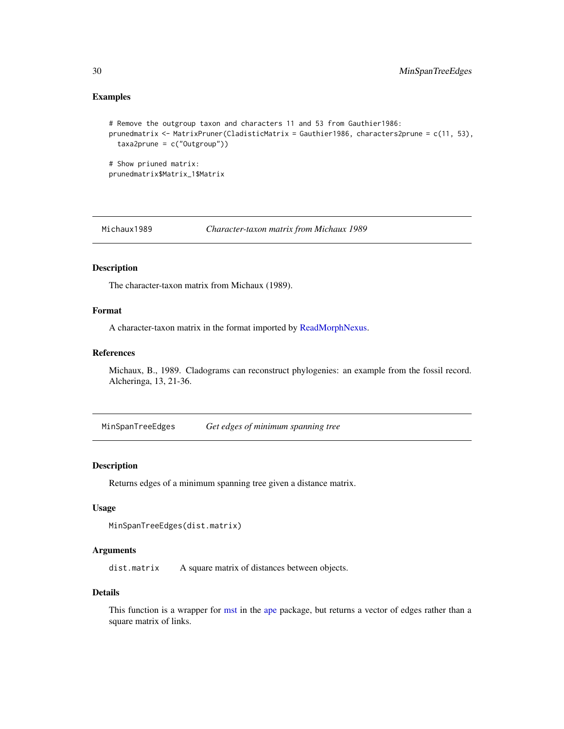# <span id="page-29-0"></span>Examples

```
# Remove the outgroup taxon and characters 11 and 53 from Gauthier1986:
prunedmatrix <- MatrixPruner(CladisticMatrix = Gauthier1986, characters2prune = c(11, 53),
 taxa2prune = c("Outgroup"))
# Show priuned matrix:
prunedmatrix$Matrix_1$Matrix
```
Michaux1989 *Character-taxon matrix from Michaux 1989*

# Description

The character-taxon matrix from Michaux (1989).

#### Format

A character-taxon matrix in the format imported by [ReadMorphNexus.](#page-42-1)

#### References

Michaux, B., 1989. Cladograms can reconstruct phylogenies: an example from the fossil record. Alcheringa, 13, 21-36.

MinSpanTreeEdges *Get edges of minimum spanning tree*

#### Description

Returns edges of a minimum spanning tree given a distance matrix.

#### Usage

```
MinSpanTreeEdges(dist.matrix)
```
#### Arguments

dist.matrix A square matrix of distances between objects.

# Details

This function is a wrapper for [mst](#page-0-0) in the [ape](#page-0-0) package, but returns a vector of edges rather than a square matrix of links.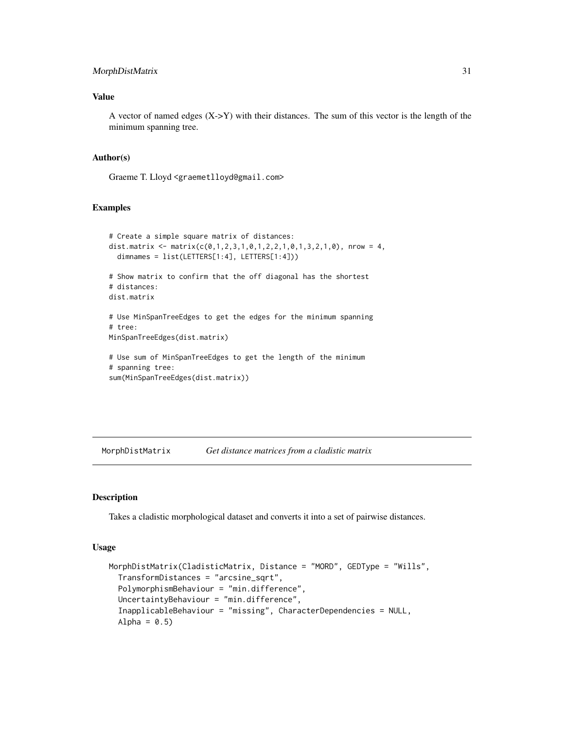# <span id="page-30-0"></span>MorphDistMatrix 31

# Value

A vector of named edges (X->Y) with their distances. The sum of this vector is the length of the minimum spanning tree.

#### Author(s)

Graeme T. Lloyd <graemetlloyd@gmail.com>

# Examples

```
# Create a simple square matrix of distances:
dist.matrix <- matrix(c(0,1,2,3,1,0,1,2,2,1,0,1,3,2,1,0), nrow = 4,
  dimnames = list(LETTERS[1:4], LETTERS[1:4]))
# Show matrix to confirm that the off diagonal has the shortest
# distances:
dist.matrix
# Use MinSpanTreeEdges to get the edges for the minimum spanning
# tree:
MinSpanTreeEdges(dist.matrix)
# Use sum of MinSpanTreeEdges to get the length of the minimum
# spanning tree:
sum(MinSpanTreeEdges(dist.matrix))
```
<span id="page-30-1"></span>MorphDistMatrix *Get distance matrices from a cladistic matrix*

#### Description

Takes a cladistic morphological dataset and converts it into a set of pairwise distances.

# Usage

```
MorphDistMatrix(CladisticMatrix, Distance = "MORD", GEDType = "Wills",
 TransformDistances = "arcsine_sqrt",
 PolymorphismBehaviour = "min.difference",
 UncertaintyBehaviour = "min.difference",
  InapplicableBehaviour = "missing", CharacterDependencies = NULL,
  Alpha = 0.5)
```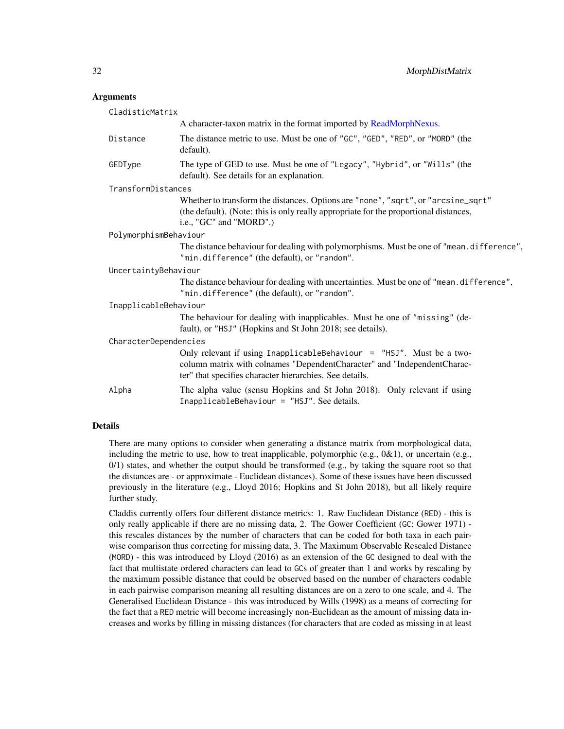#### <span id="page-31-0"></span>Arguments

| CladisticMatrix       |                                                                                                                                                                                                                |  |
|-----------------------|----------------------------------------------------------------------------------------------------------------------------------------------------------------------------------------------------------------|--|
|                       | A character-taxon matrix in the format imported by ReadMorphNexus.                                                                                                                                             |  |
| Distance              | The distance metric to use. Must be one of "GC", "GED", "RED", or "MORD" (the<br>default).                                                                                                                     |  |
| GEDType               | The type of GED to use. Must be one of "Legacy", "Hybrid", or "Wills" (the<br>default). See details for an explanation.                                                                                        |  |
| TransformDistances    |                                                                                                                                                                                                                |  |
|                       | Whether to transform the distances. Options are "none", "sqrt", or "arcsine_sqrt"<br>(the default). (Note: this is only really appropriate for the proportional distances,<br>i.e., "GC" and "MORD".)          |  |
| PolymorphismBehaviour |                                                                                                                                                                                                                |  |
|                       | The distance behaviour for dealing with polymorphisms. Must be one of "mean. difference",<br>"min.difference" (the default), or "random".                                                                      |  |
| UncertaintyBehaviour  |                                                                                                                                                                                                                |  |
|                       | The distance behaviour for dealing with uncertainties. Must be one of "mean.difference",<br>"min.difference" (the default), or "random".                                                                       |  |
| InapplicableBehaviour |                                                                                                                                                                                                                |  |
|                       | The behaviour for dealing with inapplicables. Must be one of "missing" (de-<br>fault), or "HSJ" (Hopkins and St John 2018; see details).                                                                       |  |
| CharacterDependencies |                                                                                                                                                                                                                |  |
|                       | Only relevant if using InapplicableBehaviour = $"$ HSJ". Must be a two-<br>column matrix with colnames "DependentCharacter" and "IndependentCharac-<br>ter" that specifies character hierarchies. See details. |  |
| Alpha                 | The alpha value (sensu Hopkins and St John 2018). Only relevant if using<br>InapplicableBehaviour = "HSJ". See details.                                                                                        |  |

# Details

There are many options to consider when generating a distance matrix from morphological data, including the metric to use, how to treat inapplicable, polymorphic (e.g.,  $0&1$ ), or uncertain (e.g., 0/1) states, and whether the output should be transformed (e.g., by taking the square root so that the distances are - or approximate - Euclidean distances). Some of these issues have been discussed previously in the literature (e.g., Lloyd 2016; Hopkins and St John 2018), but all likely require further study.

Claddis currently offers four different distance metrics: 1. Raw Euclidean Distance (RED) - this is only really applicable if there are no missing data, 2. The Gower Coefficient (GC; Gower 1971) this rescales distances by the number of characters that can be coded for both taxa in each pairwise comparison thus correcting for missing data, 3. The Maximum Observable Rescaled Distance (MORD) - this was introduced by Lloyd (2016) as an extension of the GC designed to deal with the fact that multistate ordered characters can lead to GCs of greater than 1 and works by rescaling by the maximum possible distance that could be observed based on the number of characters codable in each pairwise comparison meaning all resulting distances are on a zero to one scale, and 4. The Generalised Euclidean Distance - this was introduced by Wills (1998) as a means of correcting for the fact that a RED metric will become increasingly non-Euclidean as the amount of missing data increases and works by filling in missing distances (for characters that are coded as missing in at least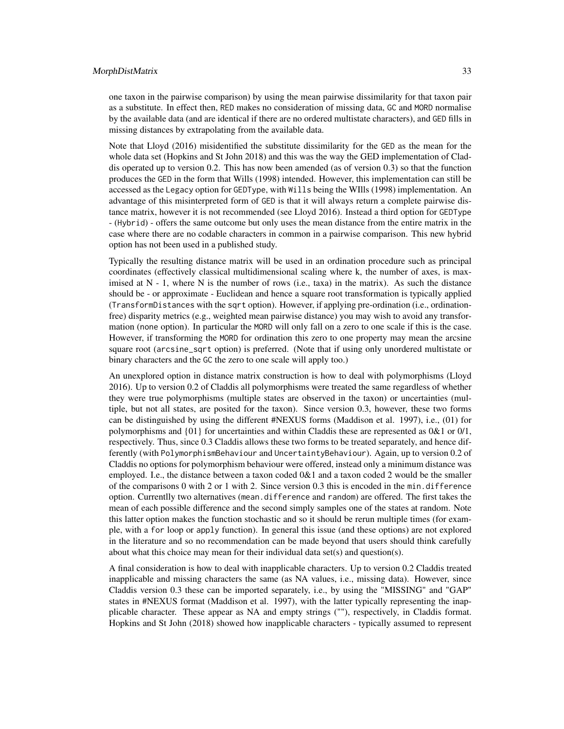#### MorphDistMatrix 33

one taxon in the pairwise comparison) by using the mean pairwise dissimilarity for that taxon pair as a substitute. In effect then, RED makes no consideration of missing data, GC and MORD normalise by the available data (and are identical if there are no ordered multistate characters), and GED fills in missing distances by extrapolating from the available data.

Note that Lloyd (2016) misidentified the substitute dissimilarity for the GED as the mean for the whole data set (Hopkins and St John 2018) and this was the way the GED implementation of Claddis operated up to version 0.2. This has now been amended (as of version 0.3) so that the function produces the GED in the form that Wills (1998) intended. However, this implementation can still be accessed as the Legacy option for GEDType, with Wills being the WIlls (1998) implementation. An advantage of this misinterpreted form of GED is that it will always return a complete pairwise distance matrix, however it is not recommended (see Lloyd 2016). Instead a third option for GEDType - (Hybrid) - offers the same outcome but only uses the mean distance from the entire matrix in the case where there are no codable characters in common in a pairwise comparison. This new hybrid option has not been used in a published study.

Typically the resulting distance matrix will be used in an ordination procedure such as principal coordinates (effectively classical multidimensional scaling where k, the number of axes, is maximised at  $N - 1$ , where  $N$  is the number of rows (i.e., taxa) in the matrix). As such the distance should be - or approximate - Euclidean and hence a square root transformation is typically applied (TransformDistances with the sqrt option). However, if applying pre-ordination (i.e., ordinationfree) disparity metrics (e.g., weighted mean pairwise distance) you may wish to avoid any transformation (none option). In particular the MORD will only fall on a zero to one scale if this is the case. However, if transforming the MORD for ordination this zero to one property may mean the arcsine square root (arcsine\_sqrt option) is preferred. (Note that if using only unordered multistate or binary characters and the GC the zero to one scale will apply too.)

An unexplored option in distance matrix construction is how to deal with polymorphisms (Lloyd 2016). Up to version 0.2 of Claddis all polymorphisms were treated the same regardless of whether they were true polymorphisms (multiple states are observed in the taxon) or uncertainties (multiple, but not all states, are posited for the taxon). Since version 0.3, however, these two forms can be distinguished by using the different #NEXUS forms (Maddison et al. 1997), i.e., (01) for polymorphisms and  $\{01\}$  for uncertainties and within Claddis these are represented as  $0&1$  or  $0/1$ , respectively. Thus, since 0.3 Claddis allows these two forms to be treated separately, and hence differently (with PolymorphismBehaviour and UncertaintyBehaviour). Again, up to version 0.2 of Claddis no options for polymorphism behaviour were offered, instead only a minimum distance was employed. I.e., the distance between a taxon coded 0&1 and a taxon coded 2 would be the smaller of the comparisons  $0$  with  $2$  or  $1$  with  $2$ . Since version  $0.3$  this is encoded in the min.difference option. Currentlly two alternatives (mean.difference and random) are offered. The first takes the mean of each possible difference and the second simply samples one of the states at random. Note this latter option makes the function stochastic and so it should be rerun multiple times (for example, with a for loop or apply function). In general this issue (and these options) are not explored in the literature and so no recommendation can be made beyond that users should think carefully about what this choice may mean for their individual data set(s) and question(s).

A final consideration is how to deal with inapplicable characters. Up to version 0.2 Claddis treated inapplicable and missing characters the same (as NA values, i.e., missing data). However, since Claddis version 0.3 these can be imported separately, i.e., by using the "MISSING" and "GAP" states in #NEXUS format (Maddison et al. 1997), with the latter typically representing the inapplicable character. These appear as NA and empty strings (""), respectively, in Claddis format. Hopkins and St John (2018) showed how inapplicable characters - typically assumed to represent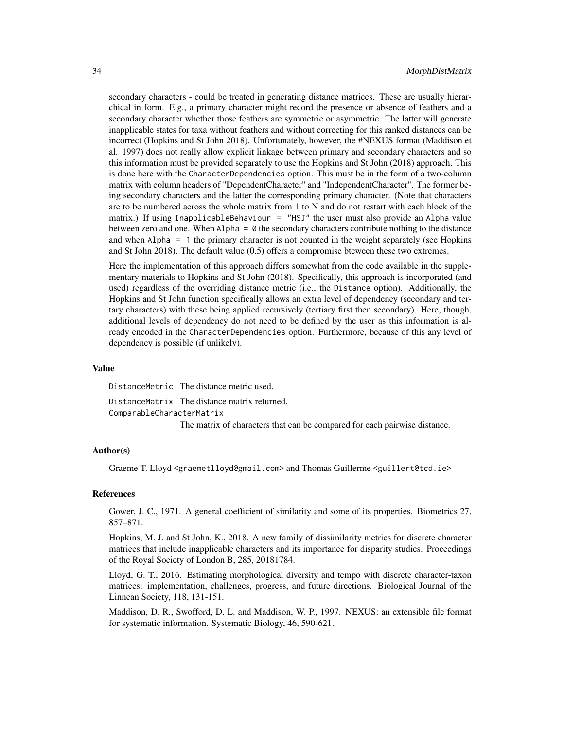secondary characters - could be treated in generating distance matrices. These are usually hierarchical in form. E.g., a primary character might record the presence or absence of feathers and a secondary character whether those feathers are symmetric or asymmetric. The latter will generate inapplicable states for taxa without feathers and without correcting for this ranked distances can be incorrect (Hopkins and St John 2018). Unfortunately, however, the #NEXUS format (Maddison et al. 1997) does not really allow explicit linkage between primary and secondary characters and so this information must be provided separately to use the Hopkins and St John (2018) approach. This is done here with the CharacterDependencies option. This must be in the form of a two-column matrix with column headers of "DependentCharacter" and "IndependentCharacter". The former being secondary characters and the latter the corresponding primary character. (Note that characters are to be numbered across the whole matrix from 1 to N and do not restart with each block of the matrix.) If using InapplicableBehaviour = "HSJ" the user must also provide an Alpha value between zero and one. When  $\text{Alpha} = \emptyset$  the secondary characters contribute nothing to the distance and when Alpha = 1 the primary character is not counted in the weight separately (see Hopkins and St John 2018). The default value (0.5) offers a compromise bteween these two extremes.

Here the implementation of this approach differs somewhat from the code available in the supplementary materials to Hopkins and St John (2018). Specifically, this approach is incorporated (and used) regardless of the overriding distance metric (i.e., the Distance option). Additionally, the Hopkins and St John function specifically allows an extra level of dependency (secondary and tertary characters) with these being applied recursively (tertiary first then secondary). Here, though, additional levels of dependency do not need to be defined by the user as this information is already encoded in the CharacterDependencies option. Furthermore, because of this any level of dependency is possible (if unlikely).

#### Value

DistanceMetric The distance metric used.

DistanceMatrix The distance matrix returned. ComparableCharacterMatrix

The matrix of characters that can be compared for each pairwise distance.

#### Author(s)

Graeme T. Lloyd <graemetlloyd@gmail.com> and Thomas Guillerme <guillert@tcd.ie>

#### References

Gower, J. C., 1971. A general coefficient of similarity and some of its properties. Biometrics 27, 857–871.

Hopkins, M. J. and St John, K., 2018. A new family of dissimilarity metrics for discrete character matrices that include inapplicable characters and its importance for disparity studies. Proceedings of the Royal Society of London B, 285, 20181784.

Lloyd, G. T., 2016. Estimating morphological diversity and tempo with discrete character-taxon matrices: implementation, challenges, progress, and future directions. Biological Journal of the Linnean Society, 118, 131-151.

Maddison, D. R., Swofford, D. L. and Maddison, W. P., 1997. NEXUS: an extensible file format for systematic information. Systematic Biology, 46, 590-621.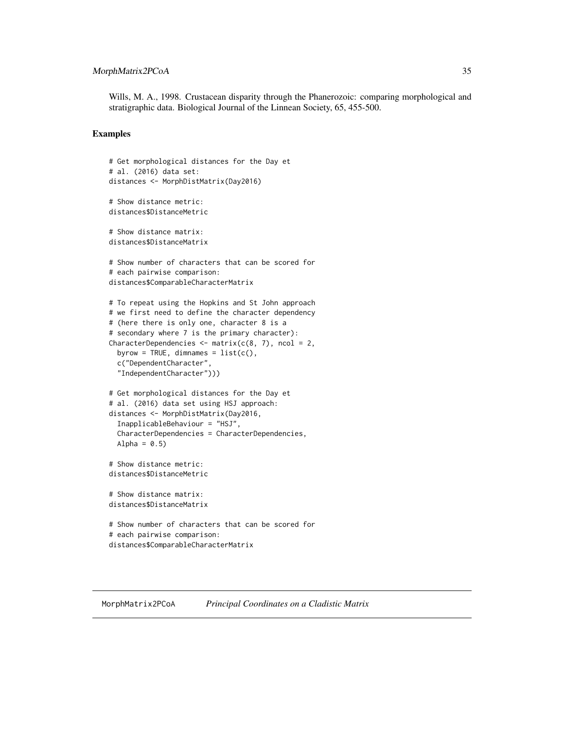# <span id="page-34-0"></span>MorphMatrix2PCoA 35

Wills, M. A., 1998. Crustacean disparity through the Phanerozoic: comparing morphological and stratigraphic data. Biological Journal of the Linnean Society, 65, 455-500.

#### Examples

```
# Get morphological distances for the Day et
# al. (2016) data set:
distances <- MorphDistMatrix(Day2016)
# Show distance metric:
distances$DistanceMetric
# Show distance matrix:
distances$DistanceMatrix
# Show number of characters that can be scored for
# each pairwise comparison:
distances$ComparableCharacterMatrix
# To repeat using the Hopkins and St John approach
# we first need to define the character dependency
# (here there is only one, character 8 is a
# secondary where 7 is the primary character):
CharacterDependencies \leq matrix(c(8, 7), ncol = 2,
 byrow = TRUE, dimnames = list(c(),
 c("DependentCharacter",
  "IndependentCharacter")))
# Get morphological distances for the Day et
# al. (2016) data set using HSJ approach:
distances <- MorphDistMatrix(Day2016,
 InapplicableBehaviour = "HSJ",
 CharacterDependencies = CharacterDependencies,
 Alpha = 0.5)
# Show distance metric:
distances$DistanceMetric
# Show distance matrix:
distances$DistanceMatrix
# Show number of characters that can be scored for
# each pairwise comparison:
distances$ComparableCharacterMatrix
```
<span id="page-34-1"></span>MorphMatrix2PCoA *Principal Coordinates on a Cladistic Matrix*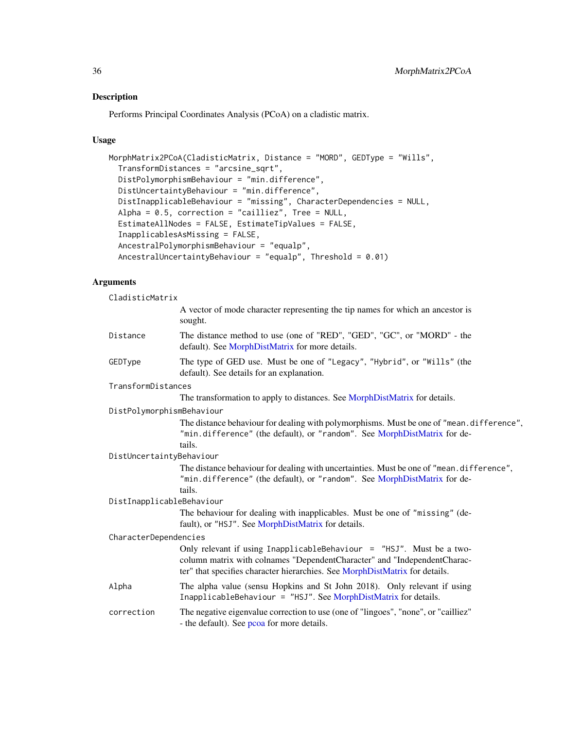# Description

Performs Principal Coordinates Analysis (PCoA) on a cladistic matrix.

# Usage

```
MorphMatrix2PCoA(CladisticMatrix, Distance = "MORD", GEDType = "Wills",
  TransformDistances = "arcsine_sqrt",
 DistPolymorphismBehaviour = "min.difference",
 DistUncertaintyBehaviour = "min.difference",
 DistInapplicableBehaviour = "missing", CharacterDependencies = NULL,
  Alpha = 0.5, correction = "cailliez", Tree = NULL,
 EstimateAllNodes = FALSE, EstimateTipValues = FALSE,
  InapplicablesAsMissing = FALSE,
  AncestralPolymorphismBehaviour = "equalp",
  AncestralUncertaintyBehaviour = "equalp", Threshold = 0.01)
```
# Arguments

CladisticMatrix

|                           | A vector of mode character representing the tip names for which an ancestor is<br>sought.                                                                                                                                          |
|---------------------------|------------------------------------------------------------------------------------------------------------------------------------------------------------------------------------------------------------------------------------|
| Distance                  | The distance method to use (one of "RED", "GED", "GC", or "MORD" - the<br>default). See MorphDistMatrix for more details.                                                                                                          |
| GEDType                   | The type of GED use. Must be one of "Legacy", "Hybrid", or "Wills" (the<br>default). See details for an explanation.                                                                                                               |
| TransformDistances        |                                                                                                                                                                                                                                    |
|                           | The transformation to apply to distances. See MorphDistMatrix for details.                                                                                                                                                         |
| DistPolymorphismBehaviour |                                                                                                                                                                                                                                    |
|                           | The distance behaviour for dealing with polymorphisms. Must be one of "mean. difference",<br>"min.difference" (the default), or "random". See MorphDistMatrix for de-<br>tails.                                                    |
| DistUncertaintyBehaviour  |                                                                                                                                                                                                                                    |
|                           | The distance behaviour for dealing with uncertainties. Must be one of "mean. difference",<br>"min.difference" (the default), or "random". See MorphDistMatrix for de-<br>tails.                                                    |
| DistInapplicableBehaviour |                                                                                                                                                                                                                                    |
|                           | The behaviour for dealing with inapplicables. Must be one of "missing" (de-<br>fault), or "HSJ". See MorphDistMatrix for details.                                                                                                  |
| CharacterDependencies     |                                                                                                                                                                                                                                    |
|                           | Only relevant if using InapplicableBehaviour = $"$ HSJ". Must be a two-<br>column matrix with colnames "DependentCharacter" and "IndependentCharac-<br>ter" that specifies character hierarchies. See MorphDistMatrix for details. |
| Alpha                     | The alpha value (sensu Hopkins and St John 2018). Only relevant if using<br>InapplicableBehaviour = "HSJ". See MorphDistMatrix for details.                                                                                        |
| correction                | The negative eigenvalue correction to use (one of "lingoes", "none", or "cailliez"<br>- the default). See pcoa for more details.                                                                                                   |

<span id="page-35-0"></span>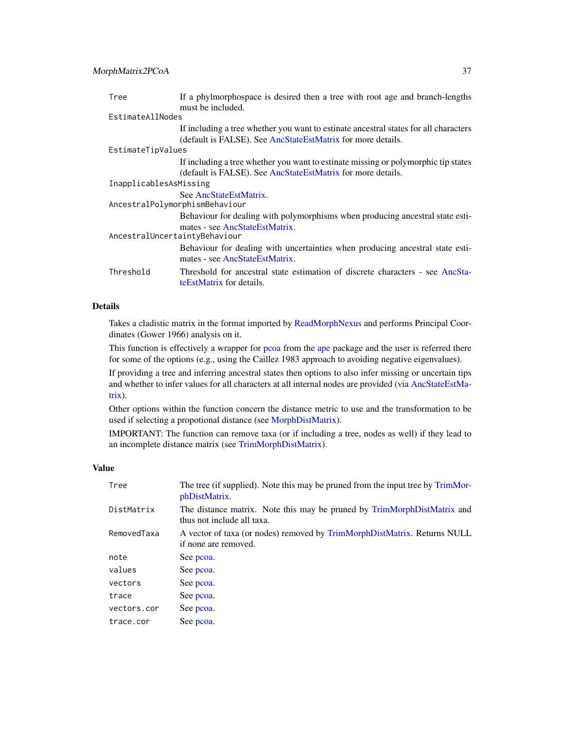<span id="page-36-0"></span>

| Tree                          | If a phylmorphospace is desired then a tree with root age and branch-lengths         |  |
|-------------------------------|--------------------------------------------------------------------------------------|--|
|                               | must be included.                                                                    |  |
| EstimateAllNodes              |                                                                                      |  |
|                               | If including a tree whether you want to estinate ancestral states for all characters |  |
|                               | (default is FALSE). See AncStateEstMatrix for more details.                          |  |
| EstimateTipValues             |                                                                                      |  |
|                               | If including a tree whether you want to estinate missing or polymorphic tip states   |  |
|                               | (default is FALSE). See AncStateEstMatrix for more details.                          |  |
| InapplicablesAsMissing        |                                                                                      |  |
|                               | See AncStateEstMatrix.                                                               |  |
|                               | AncestralPolymorphismBehaviour                                                       |  |
|                               | Behaviour for dealing with polymorphisms when producing ancestral state esti-        |  |
|                               | mates - see AncStateEstMatrix.                                                       |  |
| AncestralUncertaintyBehaviour |                                                                                      |  |
|                               | Behaviour for dealing with uncertainties when producing ancestral state esti-        |  |
|                               | mates - see AncStateEstMatrix.                                                       |  |
| Threshold                     | Threshold for ancestral state estimation of discrete characters - see AncSta-        |  |
|                               | te Est Matrix for details.                                                           |  |

#### Details

Takes a cladistic matrix in the format imported by [ReadMorphNexus](#page-42-1) and performs Principal Coordinates (Gower 1966) analysis on it.

This function is effectively a wrapper for [pcoa](#page-0-0) from the [ape](#page-0-0) package and the user is referred there for some of the options (e.g., using the Caillez 1983 approach to avoiding negative eigenvalues).

If providing a tree and inferring ancestral states then options to also infer missing or uncertain tips and whether to infer values for all characters at all internal nodes are provided (via [AncStateEstMa](#page-2-1)[trix\)](#page-2-1).

Other options within the function concern the distance metric to use and the transformation to be used if selecting a propotional distance (see [MorphDistMatrix\)](#page-30-1).

IMPORTANT: The function can remove taxa (or if including a tree, nodes as well) if they lead to an incomplete distance matrix (see [TrimMorphDistMatrix\)](#page-48-1).

#### Value

| Tree        | The tree (if supplied). Note this may be pruned from the input tree by TrimMor-<br>phDistMatrix.      |
|-------------|-------------------------------------------------------------------------------------------------------|
| DistMatrix  | The distance matrix. Note this may be pruned by TrimMorphDistMatrix and<br>thus not include all taxa. |
| RemovedTaxa | A vector of taxa (or nodes) removed by TrimMorphDistMatrix. Returns NULL<br>if none are removed.      |
| note        | See pcoa.                                                                                             |
| values      | See pcoa.                                                                                             |
| vectors     | See pcoa.                                                                                             |
| trace       | See pcoa.                                                                                             |
| vectors.cor | See pcoa.                                                                                             |
| trace.cor   | See pcoa.                                                                                             |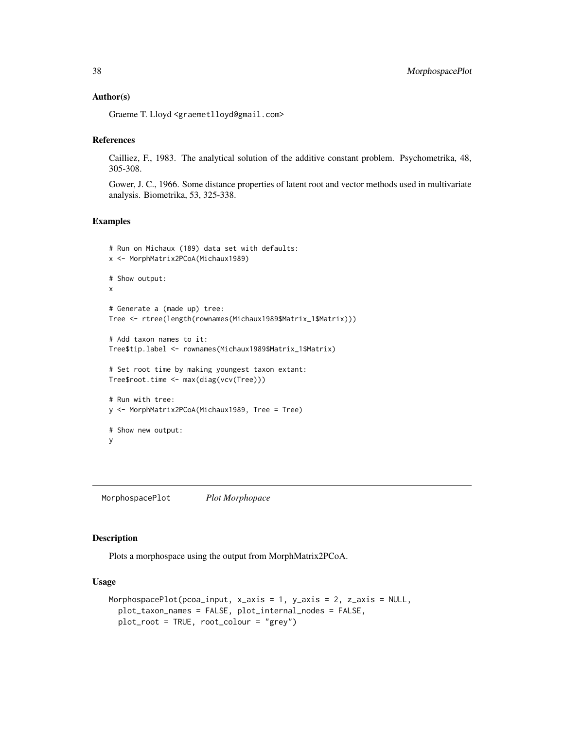#### <span id="page-37-0"></span>Author(s)

Graeme T. Lloyd <graemetlloyd@gmail.com>

#### References

Cailliez, F., 1983. The analytical solution of the additive constant problem. Psychometrika, 48, 305-308.

Gower, J. C., 1966. Some distance properties of latent root and vector methods used in multivariate analysis. Biometrika, 53, 325-338.

#### Examples

```
# Run on Michaux (189) data set with defaults:
x <- MorphMatrix2PCoA(Michaux1989)
# Show output:
x
# Generate a (made up) tree:
Tree <- rtree(length(rownames(Michaux1989$Matrix_1$Matrix)))
# Add taxon names to it:
Tree$tip.label <- rownames(Michaux1989$Matrix_1$Matrix)
# Set root time by making youngest taxon extant:
Tree$root.time <- max(diag(vcv(Tree)))
# Run with tree:
y <- MorphMatrix2PCoA(Michaux1989, Tree = Tree)
# Show new output:
y
```
<span id="page-37-1"></span>MorphospacePlot *Plot Morphopace*

#### Description

Plots a morphospace using the output from MorphMatrix2PCoA.

# Usage

```
MorphospacePlot(pcoa_input, x_axis = 1, y_axis = 2, z_axis = NULL,
  plot_taxon_names = FALSE, plot_internal_nodes = FALSE,
 plot_root = TRUE, root_colour = "grey")
```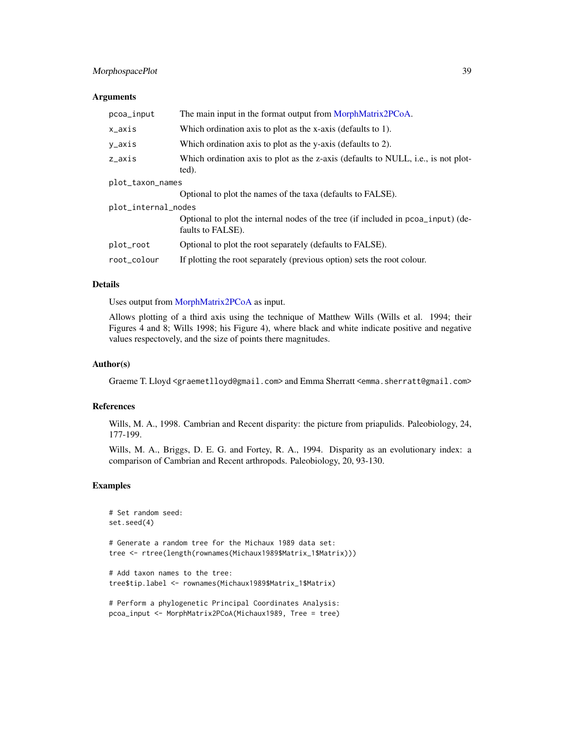# <span id="page-38-0"></span>MorphospacePlot 39

#### **Arguments**

| pcoa_input          | The main input in the format output from MorphMatrix2PCoA.                                            |  |
|---------------------|-------------------------------------------------------------------------------------------------------|--|
| x_axis              | Which ordination axis to plot as the x-axis (defaults to 1).                                          |  |
| y_axis              | Which ordination axis to plot as the y-axis (defaults to 2).                                          |  |
| z_axis              | Which ordination axis to plot as the z-axis (defaults to NULL, i.e., is not plot-<br>ted).            |  |
| plot_taxon_names    |                                                                                                       |  |
|                     | Optional to plot the names of the taxa (defaults to FALSE).                                           |  |
| plot_internal_nodes |                                                                                                       |  |
|                     | Optional to plot the internal nodes of the tree (if included in pcoa_input) (de-<br>faults to FALSE). |  |
| plot_root           | Optional to plot the root separately (defaults to FALSE).                                             |  |
| root_colour         | If plotting the root separately (previous option) sets the root colour.                               |  |

# Details

Uses output from [MorphMatrix2PCoA](#page-34-1) as input.

Allows plotting of a third axis using the technique of Matthew Wills (Wills et al. 1994; their Figures 4 and 8; Wills 1998; his Figure 4), where black and white indicate positive and negative values respectovely, and the size of points there magnitudes.

# Author(s)

Graeme T. Lloyd <graemetlloyd@gmail.com> and Emma Sherratt <emma.sherratt@gmail.com>

# References

Wills, M. A., 1998. Cambrian and Recent disparity: the picture from priapulids. Paleobiology, 24, 177-199.

Wills, M. A., Briggs, D. E. G. and Fortey, R. A., 1994. Disparity as an evolutionary index: a comparison of Cambrian and Recent arthropods. Paleobiology, 20, 93-130.

```
# Set random seed:
set.seed(4)
# Generate a random tree for the Michaux 1989 data set:
tree <- rtree(length(rownames(Michaux1989$Matrix_1$Matrix)))
# Add taxon names to the tree:
tree$tip.label <- rownames(Michaux1989$Matrix_1$Matrix)
# Perform a phylogenetic Principal Coordinates Analysis:
pcoa_input <- MorphMatrix2PCoA(Michaux1989, Tree = tree)
```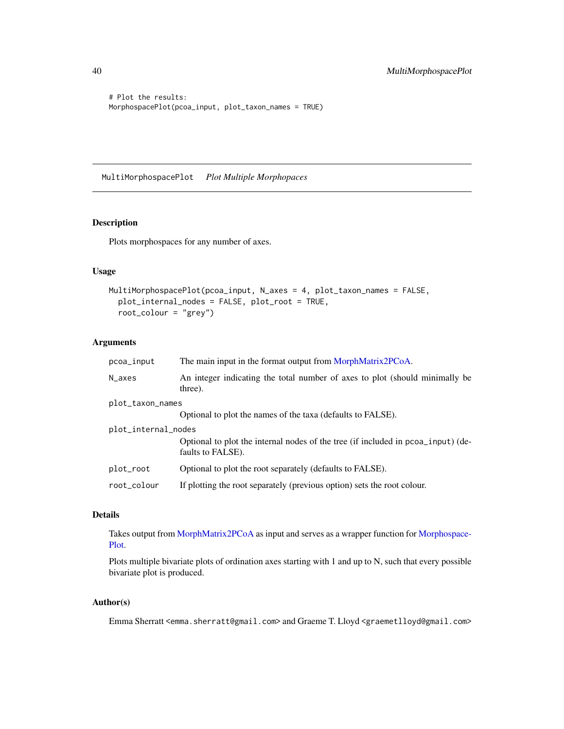```
# Plot the results:
MorphospacePlot(pcoa_input, plot_taxon_names = TRUE)
```
MultiMorphospacePlot *Plot Multiple Morphopaces*

# Description

Plots morphospaces for any number of axes.

#### Usage

```
MultiMorphospacePlot(pcoa_input, N_axes = 4, plot_taxon_names = FALSE,
 plot_internal_nodes = FALSE, plot_root = TRUE,
  root_colour = "grey")
```
# Arguments

| pcoa_input          | The main input in the format output from MorphMatrix2PCoA.                                            |
|---------------------|-------------------------------------------------------------------------------------------------------|
| N_axes              | An integer indicating the total number of axes to plot (should minimally be<br>three).                |
| plot_taxon_names    |                                                                                                       |
|                     | Optional to plot the names of the taxa (defaults to FALSE).                                           |
| plot_internal_nodes |                                                                                                       |
|                     | Optional to plot the internal nodes of the tree (if included in pcoa_input) (de-<br>faults to FALSE). |
| plot_root           | Optional to plot the root separately (defaults to FALSE).                                             |
| root_colour         | If plotting the root separately (previous option) sets the root colour.                               |

# Details

Takes output from [MorphMatrix2PCoA](#page-34-1) as input and serves as a wrapper function for [Morphospace-](#page-37-1)[Plot.](#page-37-1)

Plots multiple bivariate plots of ordination axes starting with 1 and up to N, such that every possible bivariate plot is produced.

# Author(s)

Emma Sherratt <emma.sherratt@gmail.com> and Graeme T. Lloyd <graemetlloyd@gmail.com>

<span id="page-39-0"></span>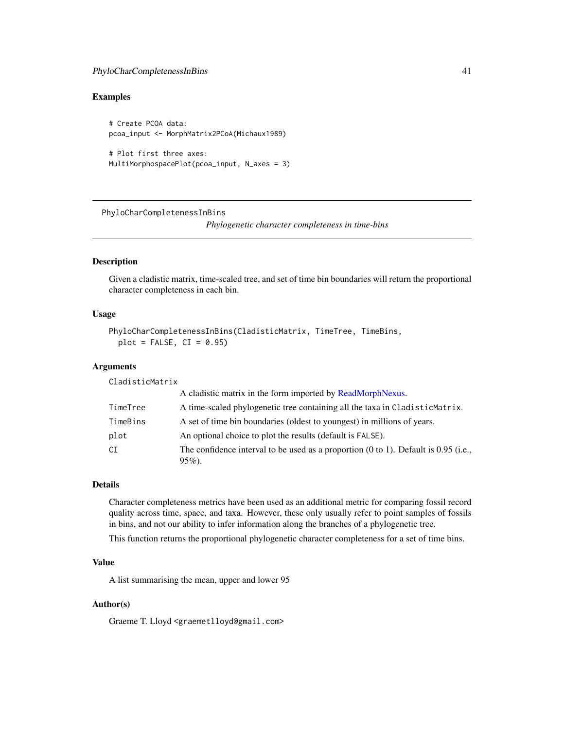# <span id="page-40-0"></span>PhyloCharCompletenessInBins 41

# Examples

# Create PCOA data: pcoa\_input <- MorphMatrix2PCoA(Michaux1989)

```
# Plot first three axes:
MultiMorphospacePlot(pcoa_input, N_axes = 3)
```
PhyloCharCompletenessInBins

*Phylogenetic character completeness in time-bins*

# Description

Given a cladistic matrix, time-scaled tree, and set of time bin boundaries will return the proportional character completeness in each bin.

#### Usage

```
PhyloCharCompletenessInBins(CladisticMatrix, TimeTree, TimeBins,
 plot = FALSE, CI = 0.95)
```
# **Arguments**

CladisticMatrix

|          | A cladistic matrix in the form imported by ReadMorphNexus.                                                   |
|----------|--------------------------------------------------------------------------------------------------------------|
| TimeTree | A time-scaled phylogenetic tree containing all the taxa in CladisticMatrix.                                  |
| TimeBins | A set of time bin boundaries (oldest to youngest) in millions of years.                                      |
| plot     | An optional choice to plot the results (default is FALSE).                                                   |
| CI       | The confidence interval to be used as a proportion $(0 \text{ to } 1)$ . Default is 0.95 (i.e.,<br>$95\%)$ . |

#### Details

Character completeness metrics have been used as an additional metric for comparing fossil record quality across time, space, and taxa. However, these only usually refer to point samples of fossils in bins, and not our ability to infer information along the branches of a phylogenetic tree.

This function returns the proportional phylogenetic character completeness for a set of time bins.

# Value

A list summarising the mean, upper and lower 95

#### Author(s)

Graeme T. Lloyd <graemetlloyd@gmail.com>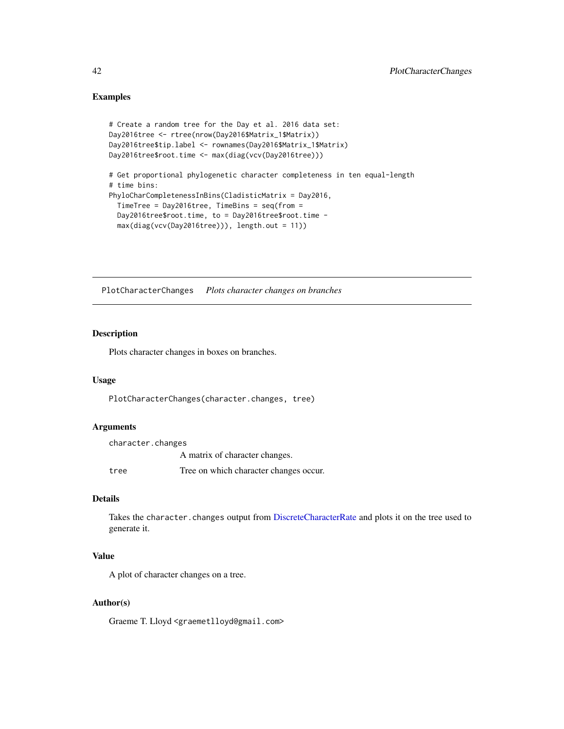# Examples

```
# Create a random tree for the Day et al. 2016 data set:
Day2016tree <- rtree(nrow(Day2016$Matrix_1$Matrix))
Day2016tree$tip.label <- rownames(Day2016$Matrix_1$Matrix)
Day2016tree$root.time <- max(diag(vcv(Day2016tree)))
# Get proportional phylogenetic character completeness in ten equal-length
# time bins:
PhyloCharCompletenessInBins(CladisticMatrix = Day2016,
  TimeTree = Day2016tree, TimeBins = seq(from =
  Day2016tree$root.time, to = Day2016tree$root.time -
  max(diag(vcv(Day2016tree))), length.out = 11))
```
PlotCharacterChanges *Plots character changes on branches*

# Description

Plots character changes in boxes on branches.

# Usage

PlotCharacterChanges(character.changes, tree)

# Arguments

| character.changes |                                        |
|-------------------|----------------------------------------|
|                   | A matrix of character changes.         |
| tree              | Tree on which character changes occur. |

# Details

Takes the character.changes output from [DiscreteCharacterRate](#page-9-1) and plots it on the tree used to generate it.

# Value

A plot of character changes on a tree.

# Author(s)

Graeme T. Lloyd <graemetlloyd@gmail.com>

<span id="page-41-0"></span>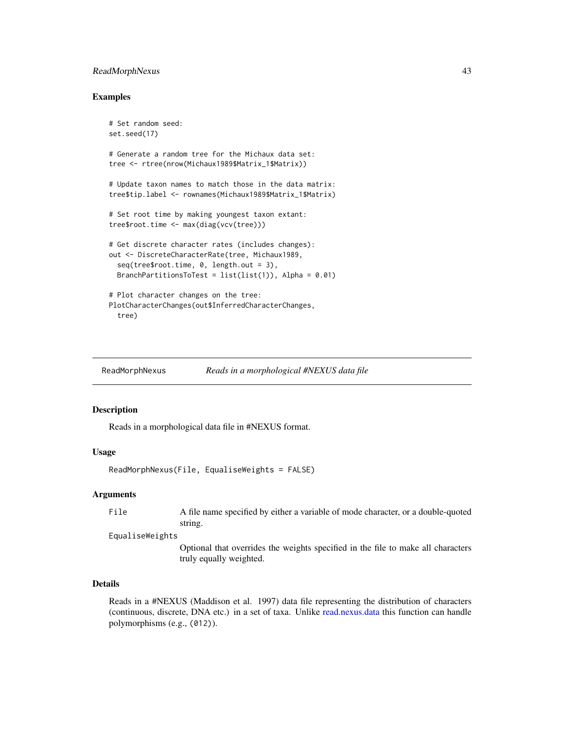# <span id="page-42-0"></span>ReadMorphNexus 43

#### Examples

```
# Set random seed:
set.seed(17)
# Generate a random tree for the Michaux data set:
tree <- rtree(nrow(Michaux1989$Matrix_1$Matrix))
# Update taxon names to match those in the data matrix:
tree$tip.label <- rownames(Michaux1989$Matrix_1$Matrix)
# Set root time by making youngest taxon extant:
tree$root.time <- max(diag(vcv(tree)))
# Get discrete character rates (includes changes):
out <- DiscreteCharacterRate(tree, Michaux1989,
 seq(tree$root.time, 0, length.out = 3),
 BranchPartitionsToTest = list(list(1)), Alpha = 0.01)
# Plot character changes on the tree:
PlotCharacterChanges(out$InferredCharacterChanges,
 tree)
```
<span id="page-42-1"></span>ReadMorphNexus *Reads in a morphological #NEXUS data file*

# **Description**

Reads in a morphological data file in #NEXUS format.

#### Usage

```
ReadMorphNexus(File, EqualiseWeights = FALSE)
```
#### Arguments

File A file name specified by either a variable of mode character, or a double-quoted string.

#### EqualiseWeights

Optional that overrides the weights specified in the file to make all characters truly equally weighted.

# Details

Reads in a #NEXUS (Maddison et al. 1997) data file representing the distribution of characters (continuous, discrete, DNA etc.) in a set of taxa. Unlike [read.nexus.data](#page-0-0) this function can handle polymorphisms (e.g., (012)).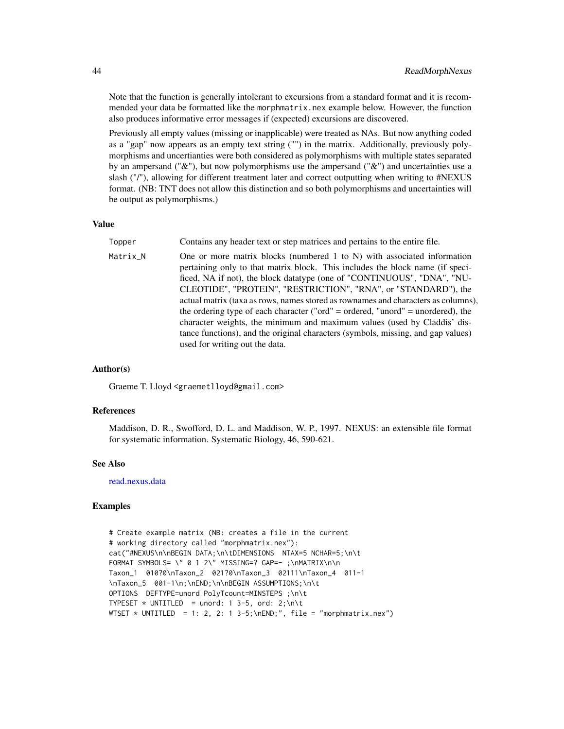Note that the function is generally intolerant to excursions from a standard format and it is recommended your data be formatted like the morphmatrix.nex example below. However, the function also produces informative error messages if (expected) excursions are discovered.

Previously all empty values (missing or inapplicable) were treated as NAs. But now anything coded as a "gap" now appears as an empty text string ("") in the matrix. Additionally, previously polymorphisms and uncertianties were both considered as polymorphisms with multiple states separated by an ampersand (" $\&$ "), but now polymorphisms use the ampersand (" $\&$ ") and uncertainties use a slash ("/"), allowing for different treatment later and correct outputting when writing to #NEXUS format. (NB: TNT does not allow this distinction and so both polymorphisms and uncertainties will be output as polymorphisms.)

#### Value

- Topper Contains any header text or step matrices and pertains to the entire file.
- Matrix\_N One or more matrix blocks (numbered 1 to N) with associated information pertaining only to that matrix block. This includes the block name (if specificed, NA if not), the block datatype (one of "CONTINUOUS", "DNA", "NU-CLEOTIDE", "PROTEIN", "RESTRICTION", "RNA", or "STANDARD"), the actual matrix (taxa as rows, names stored as rownames and characters as columns), the ordering type of each character ("ord" = ordered, "unord" = unordered), the character weights, the minimum and maximum values (used by Claddis' distance functions), and the original characters (symbols, missing, and gap values) used for writing out the data.

#### Author(s)

Graeme T. Lloyd <graemetlloyd@gmail.com>

#### References

Maddison, D. R., Swofford, D. L. and Maddison, W. P., 1997. NEXUS: an extensible file format for systematic information. Systematic Biology, 46, 590-621.

#### See Also

[read.nexus.data](#page-0-0)

```
# Create example matrix (NB: creates a file in the current
# working directory called "morphmatrix.nex"):
cat("#NEXUS\n\nBEGIN DATA;\n\tDIMENSIONS NTAX=5 NCHAR=5;\n\t
FORMAT SYMBOLS= \" 0 1 2\" MISSING=? GAP=- ;\nMATRIX\n\n
Taxon_1 010?0\nTaxon_2 021?0\nTaxon_3 02111\nTaxon_4 011-1
\nTaxon_5 001-1\n;\nEND;\n\nBEGIN ASSUMPTIONS;\n\t
OPTIONS DEFTYPE=unord PolyTcount=MINSTEPS ;\n\t
TYPESET * UNTITLED = unord: 1 3-5, ord: 2;\n\t
WTSET * UNTITLED = 1: 2, 2: 1 3-5;\nEND;", file = "morphmatrix.nex")
```
<span id="page-43-0"></span>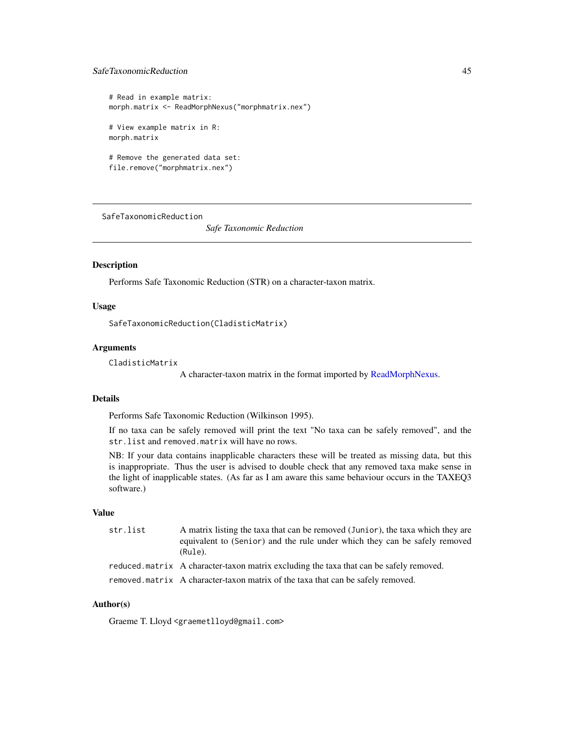# <span id="page-44-0"></span>SafeTaxonomicReduction 45

```
# Read in example matrix:
morph.matrix <- ReadMorphNexus("morphmatrix.nex")
# View example matrix in R:
morph.matrix
# Remove the generated data set:
file.remove("morphmatrix.nex")
```
<span id="page-44-1"></span>SafeTaxonomicReduction

*Safe Taxonomic Reduction*

#### **Description**

Performs Safe Taxonomic Reduction (STR) on a character-taxon matrix.

#### Usage

SafeTaxonomicReduction(CladisticMatrix)

#### Arguments

CladisticMatrix

A character-taxon matrix in the format imported by [ReadMorphNexus.](#page-42-1)

#### Details

Performs Safe Taxonomic Reduction (Wilkinson 1995).

If no taxa can be safely removed will print the text "No taxa can be safely removed", and the str.list and removed.matrix will have no rows.

NB: If your data contains inapplicable characters these will be treated as missing data, but this is inappropriate. Thus the user is advised to double check that any removed taxa make sense in the light of inapplicable states. (As far as I am aware this same behaviour occurs in the TAXEQ3 software.)

#### Value

```
str. list A matrix listing the taxa that can be removed (Junior), the taxa which they are
                  equivalent to (Senior) and the rule under which they can be safely removed
                  (Rule).
reduced.matrix A character-taxon matrix excluding the taxa that can be safely removed.
removed.matrix A character-taxon matrix of the taxa that can be safely removed.
```
# Author(s)

Graeme T. Lloyd <graemetlloyd@gmail.com>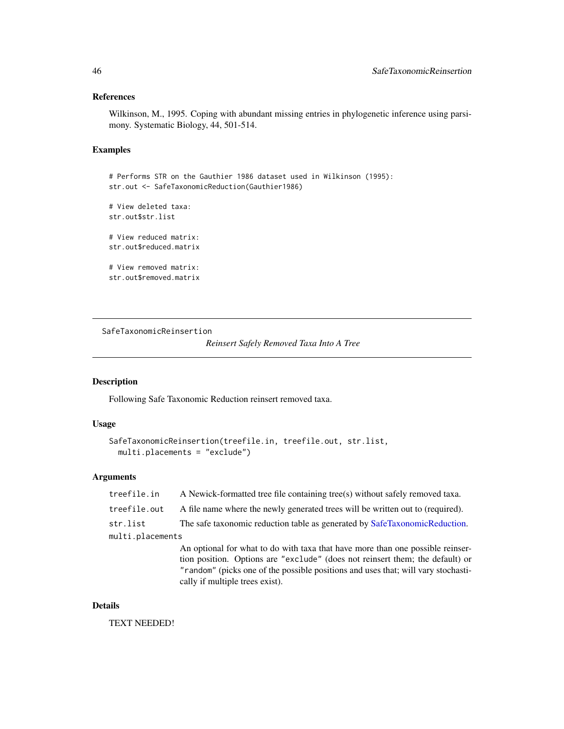# <span id="page-45-0"></span>References

Wilkinson, M., 1995. Coping with abundant missing entries in phylogenetic inference using parsimony. Systematic Biology, 44, 501-514.

# Examples

```
# Performs STR on the Gauthier 1986 dataset used in Wilkinson (1995):
str.out <- SafeTaxonomicReduction(Gauthier1986)
```

```
# View deleted taxa:
str.out$str.list
# View reduced matrix:
```
str.out\$reduced.matrix

```
# View removed matrix:
str.out$removed.matrix
```
SafeTaxonomicReinsertion

*Reinsert Safely Removed Taxa Into A Tree*

# Description

Following Safe Taxonomic Reduction reinsert removed taxa.

#### Usage

```
SafeTaxonomicReinsertion(treefile.in, treefile.out, str.list,
 multi.placements = "exclude")
```
# Arguments

| treefile.in      | A Newick-formatted tree file containing tree(s) without safely removed taxa.                                                                                                                                                       |  |
|------------------|------------------------------------------------------------------------------------------------------------------------------------------------------------------------------------------------------------------------------------|--|
| treefile.out     | A file name where the newly generated trees will be written out to (required).                                                                                                                                                     |  |
| str.list         | The safe taxonomic reduction table as generated by SafeTaxonomicReduction.                                                                                                                                                         |  |
| multi.placements |                                                                                                                                                                                                                                    |  |
|                  | An optional for what to do with taxa that have more than one possible reinser-                                                                                                                                                     |  |
|                  | tion position. Options are "exclude" (does not reinsert them; the default) or                                                                                                                                                      |  |
|                  | $H_{\rm{eff}}$ and small function is a complete second form of the complete state of the complete state of the state of the state of the state of the state of the state of the state of the state of the state of the state of th |  |

'random" (picks one of the possible positions and uses that; will vary stochastically if multiple trees exist).

# Details

TEXT NEEDED!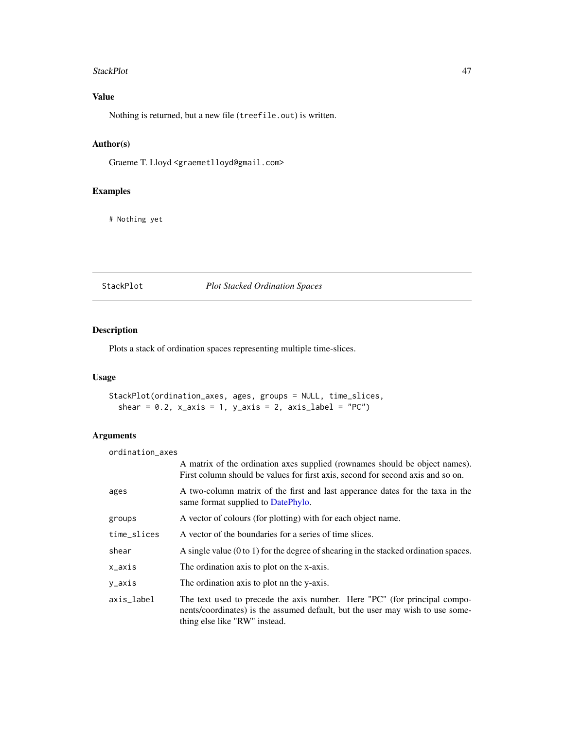#### <span id="page-46-0"></span>StackPlot **47**

# Value

Nothing is returned, but a new file (treefile.out) is written.

# Author(s)

Graeme T. Lloyd <graemetlloyd@gmail.com>

# Examples

# Nothing yet

#### StackPlot *Plot Stacked Ordination Spaces*

# Description

Plots a stack of ordination spaces representing multiple time-slices.

# Usage

StackPlot(ordination\_axes, ages, groups = NULL, time\_slices, shear =  $0.2$ ,  $x_axis = 1$ ,  $y_axis = 2$ ,  $axis_label = "PC"$ 

# Arguments

| ordination_axes |                                                                                                                                                                                             |
|-----------------|---------------------------------------------------------------------------------------------------------------------------------------------------------------------------------------------|
|                 | A matrix of the ordination axes supplied (rownames should be object names).<br>First column should be values for first axis, second for second axis and so on.                              |
| ages            | A two-column matrix of the first and last apperance dates for the taxa in the<br>same format supplied to DatePhylo.                                                                         |
| groups          | A vector of colours (for plotting) with for each object name.                                                                                                                               |
| time_slices     | A vector of the boundaries for a series of time slices.                                                                                                                                     |
| shear           | A single value $(0 \text{ to } 1)$ for the degree of shearing in the stacked ordination spaces.                                                                                             |
| x_axis          | The ordination axis to plot on the x-axis.                                                                                                                                                  |
| y_axis          | The ordination axis to plot nn the y-axis.                                                                                                                                                  |
| axis_label      | The text used to precede the axis number. Here "PC" (for principal compo-<br>nents/coordinates) is the assumed default, but the user may wish to use some-<br>thing else like "RW" instead. |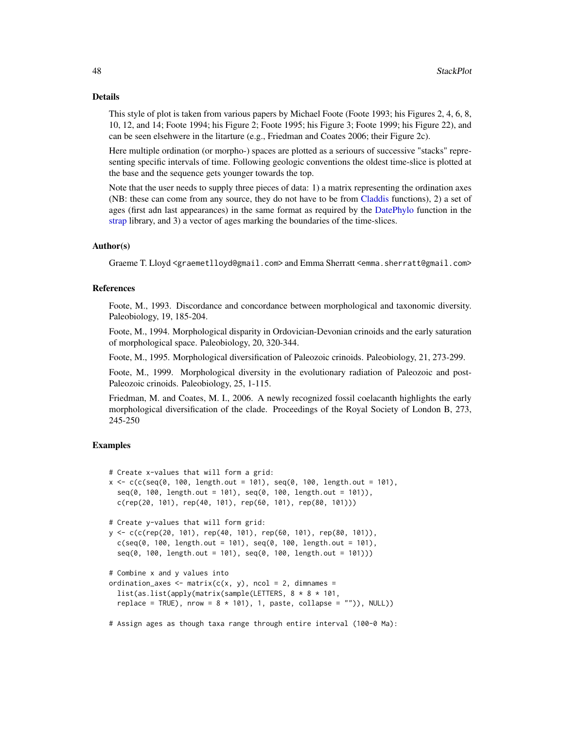#### <span id="page-47-0"></span>Details

This style of plot is taken from various papers by Michael Foote (Foote 1993; his Figures 2, 4, 6, 8, 10, 12, and 14; Foote 1994; his Figure 2; Foote 1995; his Figure 3; Foote 1999; his Figure 22), and can be seen elsehwere in the litarture (e.g., Friedman and Coates 2006; their Figure 2c).

Here multiple ordination (or morpho-) spaces are plotted as a seriours of successive "stacks" representing specific intervals of time. Following geologic conventions the oldest time-slice is plotted at the base and the sequence gets younger towards the top.

Note that the user needs to supply three pieces of data: 1) a matrix representing the ordination axes (NB: these can come from any source, they do not have to be from [Claddis](#page-2-2) functions), 2) a set of ages (first adn last appearances) in the same format as required by the [DatePhylo](#page-0-0) function in the [strap](#page-0-0) library, and 3) a vector of ages marking the boundaries of the time-slices.

# Author(s)

Graeme T. Lloyd <graemetlloyd@gmail.com> and Emma Sherratt <emma.sherratt@gmail.com>

# References

Foote, M., 1993. Discordance and concordance between morphological and taxonomic diversity. Paleobiology, 19, 185-204.

Foote, M., 1994. Morphological disparity in Ordovician-Devonian crinoids and the early saturation of morphological space. Paleobiology, 20, 320-344.

Foote, M., 1995. Morphological diversification of Paleozoic crinoids. Paleobiology, 21, 273-299.

Foote, M., 1999. Morphological diversity in the evolutionary radiation of Paleozoic and post-Paleozoic crinoids. Paleobiology, 25, 1-115.

Friedman, M. and Coates, M. I., 2006. A newly recognized fossil coelacanth highlights the early morphological diversification of the clade. Proceedings of the Royal Society of London B, 273, 245-250

# Examples

```
# Create x-values that will form a grid:
x < -c(c(\text{seq}(0, 100, \text{length.out} = 101), \text{seq}(0, 100, \text{length.out} = 101)),seq(0, 100, length.out = 101), seq(0, 100, length.out = 101)),c(rep(20, 101), rep(40, 101), rep(60, 101), rep(80, 101)))# Create y-values that will form grid:
y <- c(c(rep(20, 101), rep(40, 101), rep(60, 101), rep(80, 101)),
  c(\text{seq}(0, 100, \text{length.out} = 101), \text{seq}(0, 100, \text{length.out} = 101),seq(0, 100, length.out = 101), seq(0, 100, length.out = 101)))# Combine x and y values into
ordination_axes <- matrix(c(x, y), ncol = 2, dimnames =
  list(as.list(apply(matrix(sample(LETTERS, 8 * 8 * 101,
  replace = TRUE), nrow = 8 * 101, 1, paste, collapse = "")), NULL))
```
# Assign ages as though taxa range through entire interval (100-0 Ma):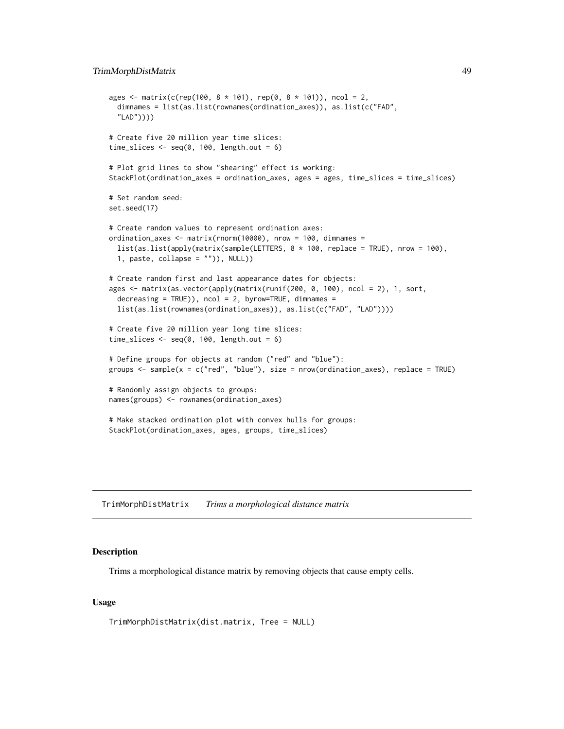```
ages <- matrix(c(rep(100, 8 * 101), rep(0, 8 * 101)), ncol = 2,
 dimnames = list(as.list(rownames(ordination_axes)), as.list(c("FAD",
  "LAD"))))
# Create five 20 million year time slices:
time_slices \leq seq(0, 100, length.out = 6)
# Plot grid lines to show "shearing" effect is working:
StackPlot(ordination_axes = ordination_axes, ages = ages, time_slices = time_slices)
# Set random seed:
set.seed(17)
# Create random values to represent ordination axes:
ordination_axes <- matrix(rnorm(10000), nrow = 100, dimnames =
 list(as.list(apply(matrix(sample(LETTERS, 8 * 100, replace = TRUE), nrow = 100),
 1, paste, collapse = "")), NULL))
# Create random first and last appearance dates for objects:
ages <- matrix(as.vector(apply(matrix(runif(200, 0, 100), ncol = 2), 1, sort,
 decreasing = TRUE), ncol = 2, by row = TRUE, dimnames =list(as.list(rownames(ordination_axes)), as.list(c("FAD", "LAD"))))
# Create five 20 million year long time slices:
time_slices \leq seq(0, 100, length.out = 6)
# Define groups for objects at random ("red" and "blue"):
groups <- sample(x = c("red", "blue"), size = nrow(ordination_axes), replace = TRUE)
# Randomly assign objects to groups:
names(groups) <- rownames(ordination_axes)
# Make stacked ordination plot with convex hulls for groups:
StackPlot(ordination_axes, ages, groups, time_slices)
```
<span id="page-48-1"></span>TrimMorphDistMatrix *Trims a morphological distance matrix*

#### Description

Trims a morphological distance matrix by removing objects that cause empty cells.

#### Usage

TrimMorphDistMatrix(dist.matrix, Tree = NULL)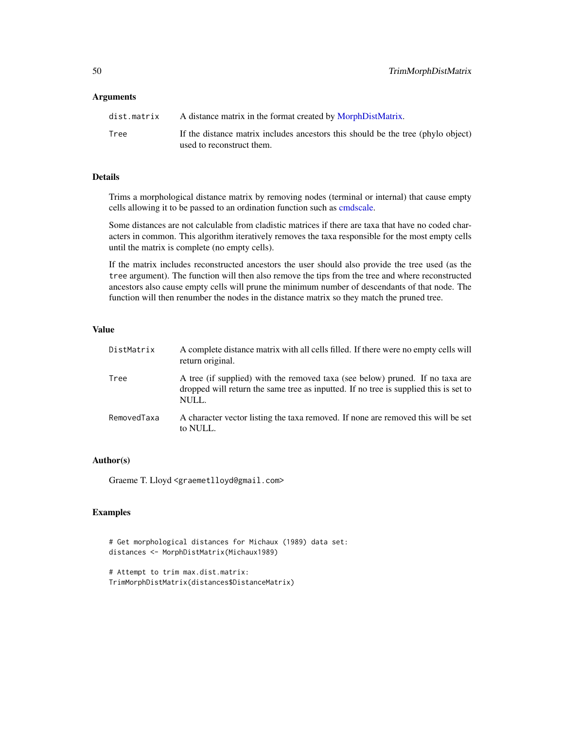#### <span id="page-49-0"></span>**Arguments**

| dist.matrix | A distance matrix in the format created by MorphDistMatrix.                      |
|-------------|----------------------------------------------------------------------------------|
| Tree        | If the distance matrix includes ancestors this should be the tree (phylo object) |
|             | used to reconstruct them.                                                        |

# Details

Trims a morphological distance matrix by removing nodes (terminal or internal) that cause empty cells allowing it to be passed to an ordination function such as [cmdscale.](#page-0-0)

Some distances are not calculable from cladistic matrices if there are taxa that have no coded characters in common. This algorithm iteratively removes the taxa responsible for the most empty cells until the matrix is complete (no empty cells).

If the matrix includes reconstructed ancestors the user should also provide the tree used (as the tree argument). The function will then also remove the tips from the tree and where reconstructed ancestors also cause empty cells will prune the minimum number of descendants of that node. The function will then renumber the nodes in the distance matrix so they match the pruned tree.

# Value

| DistMatrix  | A complete distance matrix with all cells filled. If there were no empty cells will<br>return original.                                                                        |
|-------------|--------------------------------------------------------------------------------------------------------------------------------------------------------------------------------|
| Tree        | A tree (if supplied) with the removed taxa (see below) pruned. If no taxa are<br>dropped will return the same tree as inputted. If no tree is supplied this is set to<br>NULL. |
| RemovedTaxa | A character vector listing the taxa removed. If none are removed this will be set<br>to NULL.                                                                                  |

#### Author(s)

Graeme T. Lloyd <graemetlloyd@gmail.com>

```
# Get morphological distances for Michaux (1989) data set:
distances <- MorphDistMatrix(Michaux1989)
```

```
# Attempt to trim max.dist.matrix:
TrimMorphDistMatrix(distances$DistanceMatrix)
```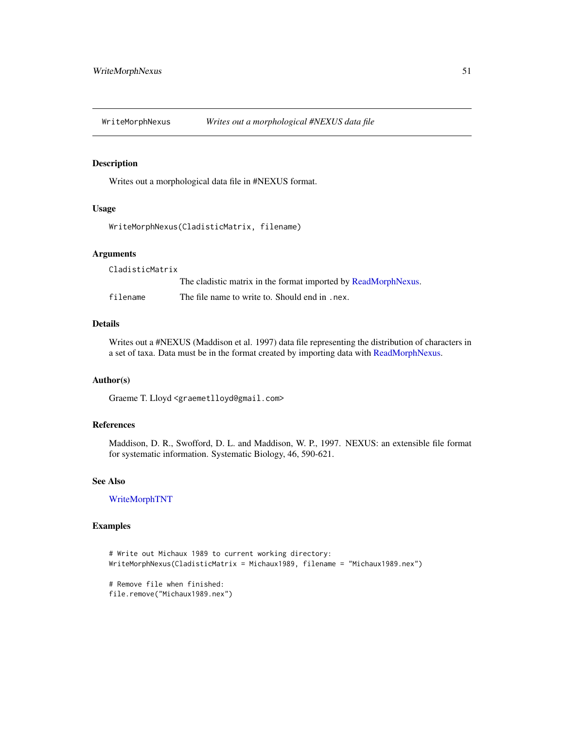<span id="page-50-1"></span><span id="page-50-0"></span>

# Description

Writes out a morphological data file in #NEXUS format.

#### Usage

WriteMorphNexus(CladisticMatrix, filename)

# Arguments

CladisticMatrix

|          | The cladistic matrix in the format imported by ReadMorphNexus. |
|----------|----------------------------------------------------------------|
| filename | The file name to write to. Should end in . nex.                |

# Details

Writes out a #NEXUS (Maddison et al. 1997) data file representing the distribution of characters in a set of taxa. Data must be in the format created by importing data with [ReadMorphNexus.](#page-42-1)

# Author(s)

Graeme T. Lloyd <graemetlloyd@gmail.com>

# References

Maddison, D. R., Swofford, D. L. and Maddison, W. P., 1997. NEXUS: an extensible file format for systematic information. Systematic Biology, 46, 590-621.

#### See Also

# [WriteMorphTNT](#page-51-1)

```
# Write out Michaux 1989 to current working directory:
WriteMorphNexus(CladisticMatrix = Michaux1989, filename = "Michaux1989.nex")
# Remove file when finished:
file.remove("Michaux1989.nex")
```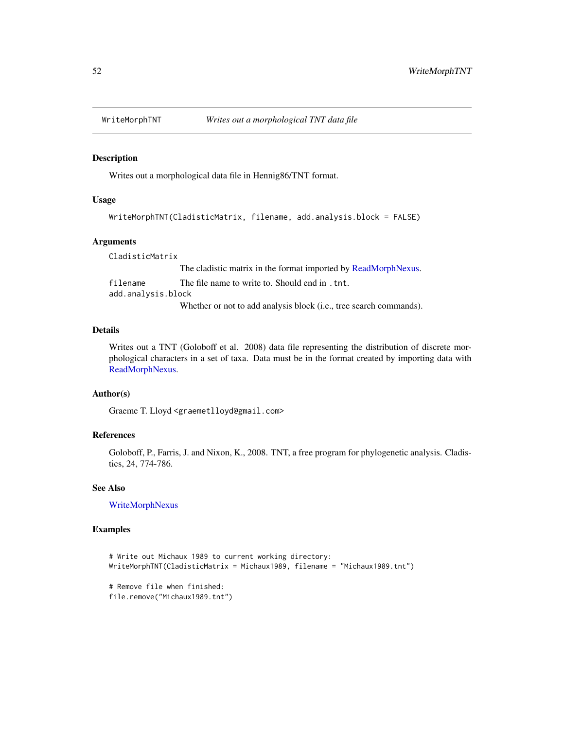<span id="page-51-1"></span><span id="page-51-0"></span>

#### Description

Writes out a morphological data file in Hennig86/TNT format.

#### Usage

```
WriteMorphTNT(CladisticMatrix, filename, add.analysis.block = FALSE)
```
### Arguments

CladisticMatrix The cladistic matrix in the format imported by [ReadMorphNexus.](#page-42-1) filename The file name to write to. Should end in .tnt. add.analysis.block Whether or not to add analysis block (i.e., tree search commands).

#### Details

Writes out a TNT (Goloboff et al. 2008) data file representing the distribution of discrete morphological characters in a set of taxa. Data must be in the format created by importing data with [ReadMorphNexus.](#page-42-1)

# Author(s)

Graeme T. Lloyd <graemetlloyd@gmail.com>

# References

Goloboff, P., Farris, J. and Nixon, K., 2008. TNT, a free program for phylogenetic analysis. Cladistics, 24, 774-786.

#### See Also

[WriteMorphNexus](#page-50-1)

```
# Write out Michaux 1989 to current working directory:
WriteMorphTNT(CladisticMatrix = Michaux1989, filename = "Michaux1989.tnt")
```

```
# Remove file when finished:
file.remove("Michaux1989.tnt")
```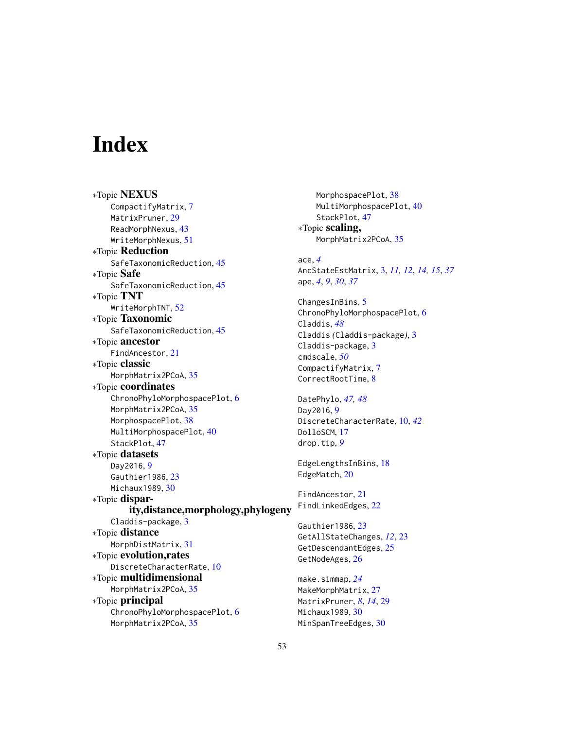# <span id="page-52-0"></span>**Index**

∗Topic NEXUS CompactifyMatrix, [7](#page-6-0) MatrixPruner, [29](#page-28-0) ReadMorphNexus, [43](#page-42-0) WriteMorphNexus, [51](#page-50-0) ∗Topic Reduction SafeTaxonomicReduction, [45](#page-44-0) ∗Topic Safe SafeTaxonomicReduction, [45](#page-44-0) ∗Topic TNT WriteMorphTNT, [52](#page-51-0) ∗Topic Taxonomic SafeTaxonomicReduction, [45](#page-44-0) ∗Topic ancestor FindAncestor, [21](#page-20-0) ∗Topic classic MorphMatrix2PCoA, [35](#page-34-0) ∗Topic coordinates ChronoPhyloMorphospacePlot, [6](#page-5-0) MorphMatrix2PCoA, [35](#page-34-0) MorphospacePlot, [38](#page-37-0) MultiMorphospacePlot, [40](#page-39-0) StackPlot, [47](#page-46-0) ∗Topic datasets Day2016, [9](#page-8-0) Gauthier1986, [23](#page-22-0) Michaux1989, [30](#page-29-0) ∗Topic disparity,distance,morphology,phylogeny Claddis-package, [3](#page-2-0) ∗Topic distance MorphDistMatrix, [31](#page-30-0) ∗Topic evolution,rates DiscreteCharacterRate, [10](#page-9-0) ∗Topic multidimensional MorphMatrix2PCoA, [35](#page-34-0) ∗Topic principal ChronoPhyloMorphospacePlot, [6](#page-5-0) MorphMatrix2PCoA, [35](#page-34-0)

MorphospacePlot, [38](#page-37-0) MultiMorphospacePlot, [40](#page-39-0) StackPlot, [47](#page-46-0) ∗Topic scaling, MorphMatrix2PCoA, [35](#page-34-0) ace, *[4](#page-3-0)* AncStateEstMatrix, [3,](#page-2-0) *[11,](#page-10-0) [12](#page-11-0)*, *[14,](#page-13-0) [15](#page-14-0)*, *[37](#page-36-0)* ape, *[4](#page-3-0)*, *[9](#page-8-0)*, *[30](#page-29-0)*, *[37](#page-36-0)* ChangesInBins, [5](#page-4-0) ChronoPhyloMorphospacePlot, [6](#page-5-0) Claddis, *[48](#page-47-0)* Claddis *(*Claddis-package*)*, [3](#page-2-0) Claddis-package, [3](#page-2-0) cmdscale, *[50](#page-49-0)* CompactifyMatrix, [7](#page-6-0) CorrectRootTime, [8](#page-7-0) DatePhylo, *[47,](#page-46-0) [48](#page-47-0)* Day2016, [9](#page-8-0) DiscreteCharacterRate, [10,](#page-9-0) *[42](#page-41-0)* DolloSCM, [17](#page-16-0) drop.tip, *[9](#page-8-0)* EdgeLengthsInBins, [18](#page-17-0) EdgeMatch, [20](#page-19-0) FindAncestor, [21](#page-20-0) FindLinkedEdges, [22](#page-21-0) Gauthier1986, [23](#page-22-0) GetAllStateChanges, *[12](#page-11-0)*, [23](#page-22-0) GetDescendantEdges, [25](#page-24-0) GetNodeAges, [26](#page-25-0) make.simmap, *[24](#page-23-0)* MakeMorphMatrix, [27](#page-26-0) MatrixPruner, *[8](#page-7-0)*, *[14](#page-13-0)*, [29](#page-28-0) Michaux1989, [30](#page-29-0) MinSpanTreeEdges, [30](#page-29-0)